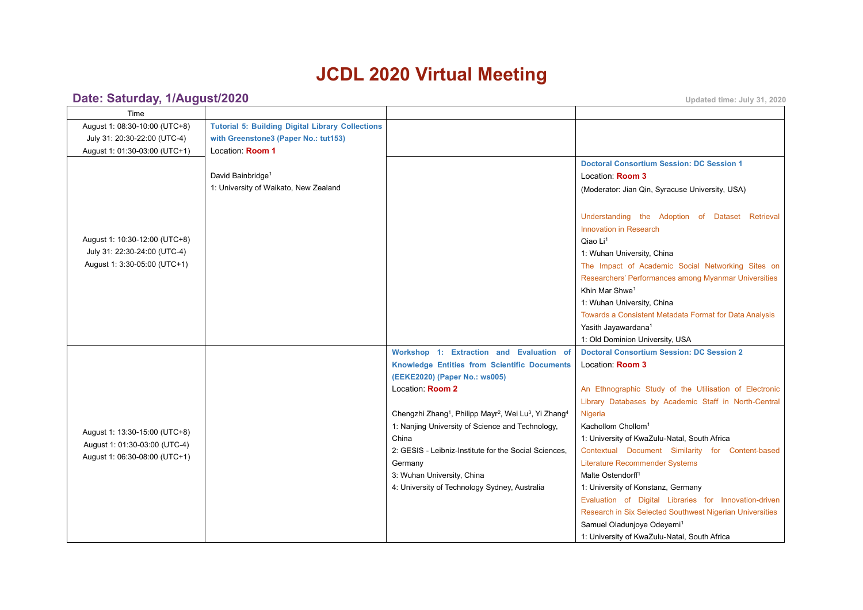# **JCDL 2020 Virtual Meeting**

# **Date: Saturday, [1/August/2020](https://www.conftool.net/demo/pro/index.php?page=browseSessions&print=export&ismobile=false&form_date=2021-02-28&mode=table&presentations=show) Updated time: July 31, <sup>2020</sup>**

| Time                          |                                                         |                                                                                                       |                                                          |
|-------------------------------|---------------------------------------------------------|-------------------------------------------------------------------------------------------------------|----------------------------------------------------------|
| August 1: 08:30-10:00 (UTC+8) | <b>Tutorial 5: Building Digital Library Collections</b> |                                                                                                       |                                                          |
| July 31: 20:30-22:00 (UTC-4)  | with Greenstone3 (Paper No.: tut153)                    |                                                                                                       |                                                          |
| August 1: 01:30-03:00 (UTC+1) | Location: Room 1                                        |                                                                                                       |                                                          |
|                               |                                                         |                                                                                                       | <b>Doctoral Consortium Session: DC Session 1</b>         |
|                               | David Bainbridge <sup>1</sup>                           |                                                                                                       | Location: <b>Room 3</b>                                  |
|                               | 1: University of Waikato, New Zealand                   |                                                                                                       | (Moderator: Jian Qin, Syracuse University, USA)          |
|                               |                                                         |                                                                                                       | Understanding the Adoption of Dataset Retrieval          |
|                               |                                                         |                                                                                                       | <b>Innovation in Research</b>                            |
| August 1: 10:30-12:00 (UTC+8) |                                                         |                                                                                                       | Qiao Li <sup>1</sup>                                     |
| July 31: 22:30-24:00 (UTC-4)  |                                                         |                                                                                                       | 1: Wuhan University, China                               |
| August 1: 3:30-05:00 (UTC+1)  |                                                         |                                                                                                       | The Impact of Academic Social Networking Sites on        |
|                               |                                                         |                                                                                                       | Researchers' Performances among Myanmar Universities     |
|                               |                                                         |                                                                                                       | Khin Mar Shwe <sup>1</sup>                               |
|                               |                                                         |                                                                                                       | 1: Wuhan University, China                               |
|                               |                                                         |                                                                                                       | Towards a Consistent Metadata Format for Data Analysis   |
|                               |                                                         |                                                                                                       | Yasith Jayawardana <sup>1</sup>                          |
|                               |                                                         |                                                                                                       | 1: Old Dominion University, USA                          |
|                               |                                                         | Workshop 1: Extraction and Evaluation of                                                              | <b>Doctoral Consortium Session: DC Session 2</b>         |
|                               |                                                         | <b>Knowledge Entities from Scientific Documents</b>                                                   | Location: Room 3                                         |
|                               |                                                         | (EEKE2020) (Paper No.: ws005)                                                                         |                                                          |
|                               |                                                         | Location: Room 2                                                                                      | An Ethnographic Study of the Utilisation of Electronic   |
|                               |                                                         |                                                                                                       | Library Databases by Academic Staff in North-Central     |
|                               |                                                         | Chengzhi Zhang <sup>1</sup> , Philipp Mayr <sup>2</sup> , Wei Lu <sup>3</sup> , Yi Zhang <sup>4</sup> | Nigeria                                                  |
| August 1: 13:30-15:00 (UTC+8) |                                                         | 1: Nanjing University of Science and Technology,                                                      | Kachollom Chollom <sup>1</sup>                           |
| August 1: 01:30-03:00 (UTC-4) |                                                         | China                                                                                                 | 1: University of KwaZulu-Natal, South Africa             |
| August 1: 06:30-08:00 (UTC+1) |                                                         | 2: GESIS - Leibniz-Institute for the Social Sciences,                                                 | Contextual Document Similarity for Content-based         |
|                               |                                                         | Germany                                                                                               | <b>Literature Recommender Systems</b>                    |
|                               |                                                         | 3: Wuhan University, China                                                                            | Malte Ostendorff <sup>1</sup>                            |
|                               |                                                         | 4: University of Technology Sydney, Australia                                                         | 1: University of Konstanz, Germany                       |
|                               |                                                         |                                                                                                       | Evaluation of Digital Libraries for Innovation-driven    |
|                               |                                                         |                                                                                                       | Research in Six Selected Southwest Nigerian Universities |
|                               |                                                         |                                                                                                       | Samuel Oladunjoye Odeyemi <sup>1</sup>                   |
|                               |                                                         |                                                                                                       | 1: University of KwaZulu-Natal, South Africa             |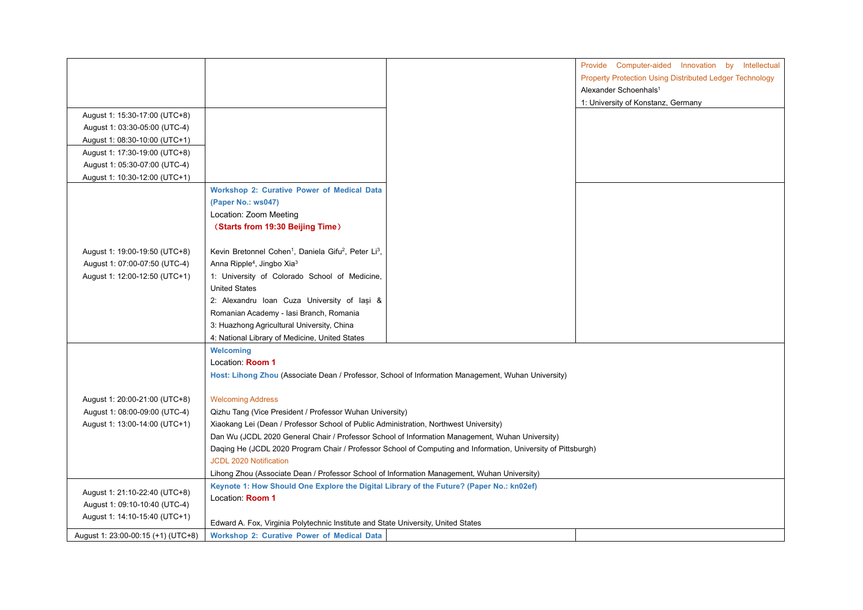|                                    |                                                                                                 |                                                                                                               | Provide Computer-aided Innovation by Intellectual       |
|------------------------------------|-------------------------------------------------------------------------------------------------|---------------------------------------------------------------------------------------------------------------|---------------------------------------------------------|
|                                    |                                                                                                 |                                                                                                               | Property Protection Using Distributed Ledger Technology |
|                                    |                                                                                                 |                                                                                                               | Alexander Schoenhals <sup>1</sup>                       |
|                                    |                                                                                                 |                                                                                                               | 1: University of Konstanz, Germany                      |
| August 1: 15:30-17:00 (UTC+8)      |                                                                                                 |                                                                                                               |                                                         |
| August 1: 03:30-05:00 (UTC-4)      |                                                                                                 |                                                                                                               |                                                         |
| August 1: 08:30-10:00 (UTC+1)      |                                                                                                 |                                                                                                               |                                                         |
| August 1: 17:30-19:00 (UTC+8)      |                                                                                                 |                                                                                                               |                                                         |
| August 1: 05:30-07:00 (UTC-4)      |                                                                                                 |                                                                                                               |                                                         |
| August 1: 10:30-12:00 (UTC+1)      |                                                                                                 |                                                                                                               |                                                         |
|                                    | <b>Workshop 2: Curative Power of Medical Data</b>                                               |                                                                                                               |                                                         |
|                                    | (Paper No.: ws047)                                                                              |                                                                                                               |                                                         |
|                                    | Location: Zoom Meeting                                                                          |                                                                                                               |                                                         |
|                                    | (Starts from 19:30 Beijing Time)                                                                |                                                                                                               |                                                         |
|                                    |                                                                                                 |                                                                                                               |                                                         |
| August 1: 19:00-19:50 (UTC+8)      | Kevin Bretonnel Cohen <sup>1</sup> , Daniela Gifu <sup>2</sup> , Peter Li <sup>3</sup> ,        |                                                                                                               |                                                         |
| August 1: 07:00-07:50 (UTC-4)      | Anna Ripple <sup>4</sup> , Jingbo Xia <sup>3</sup>                                              |                                                                                                               |                                                         |
| August 1: 12:00-12:50 (UTC+1)      | 1: University of Colorado School of Medicine,                                                   |                                                                                                               |                                                         |
|                                    | <b>United States</b><br>2: Alexandru Ioan Cuza University of Iași &                             |                                                                                                               |                                                         |
|                                    | Romanian Academy - Iasi Branch, Romania                                                         |                                                                                                               |                                                         |
|                                    |                                                                                                 |                                                                                                               |                                                         |
|                                    | 3: Huazhong Agricultural University, China<br>4: National Library of Medicine, United States    |                                                                                                               |                                                         |
|                                    | Welcoming                                                                                       |                                                                                                               |                                                         |
|                                    | Location: Room 1                                                                                |                                                                                                               |                                                         |
|                                    |                                                                                                 | Host: Lihong Zhou (Associate Dean / Professor, School of Information Management, Wuhan University)            |                                                         |
|                                    |                                                                                                 |                                                                                                               |                                                         |
| August 1: 20:00-21:00 (UTC+8)      | <b>Welcoming Address</b>                                                                        |                                                                                                               |                                                         |
| August 1: 08:00-09:00 (UTC-4)      | Qizhu Tang (Vice President / Professor Wuhan University)                                        |                                                                                                               |                                                         |
| August 1: 13:00-14:00 (UTC+1)      | Xiaokang Lei (Dean / Professor School of Public Administration, Northwest University)           |                                                                                                               |                                                         |
|                                    | Dan Wu (JCDL 2020 General Chair / Professor School of Information Management, Wuhan University) |                                                                                                               |                                                         |
|                                    |                                                                                                 | Daqing He (JCDL 2020 Program Chair / Professor School of Computing and Information, University of Pittsburgh) |                                                         |
|                                    | JCDL 2020 Notification                                                                          |                                                                                                               |                                                         |
|                                    | Lihong Zhou (Associate Dean / Professor School of Information Management, Wuhan University)     |                                                                                                               |                                                         |
|                                    | Keynote 1: How Should One Explore the Digital Library of the Future? (Paper No.: kn02ef)        |                                                                                                               |                                                         |
| August 1: 21:10-22:40 (UTC+8)      | Location: Room 1                                                                                |                                                                                                               |                                                         |
| August 1: 09:10-10:40 (UTC-4)      |                                                                                                 |                                                                                                               |                                                         |
| August 1: 14:10-15:40 (UTC+1)      | Edward A. Fox, Virginia Polytechnic Institute and State University, United States               |                                                                                                               |                                                         |
| August 1: 23:00-00:15 (+1) (UTC+8) | <b>Workshop 2: Curative Power of Medical Data</b>                                               |                                                                                                               |                                                         |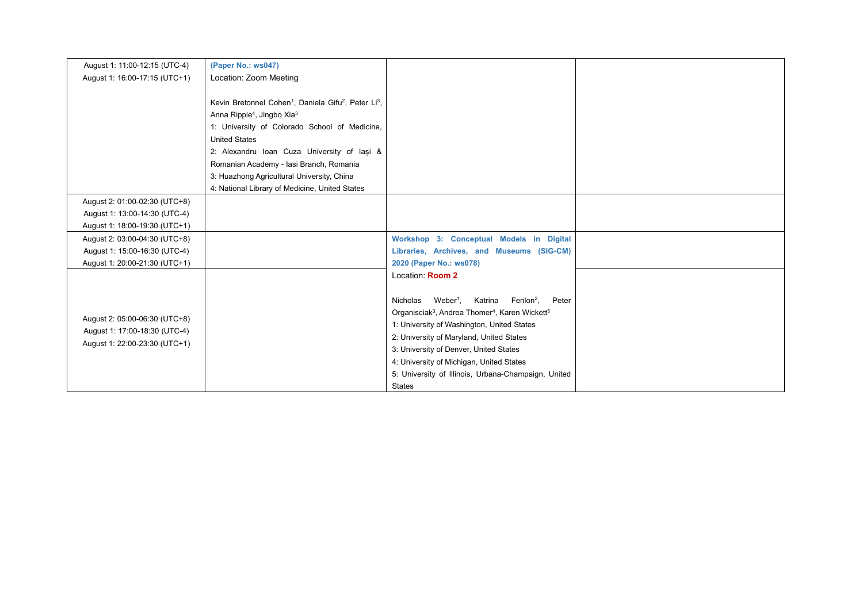| August 1: 11:00-12:15 (UTC-4) | (Paper No.: ws047)                                                                       |                                                                                    |  |
|-------------------------------|------------------------------------------------------------------------------------------|------------------------------------------------------------------------------------|--|
| August 1: 16:00-17:15 (UTC+1) | Location: Zoom Meeting                                                                   |                                                                                    |  |
|                               |                                                                                          |                                                                                    |  |
|                               | Kevin Bretonnel Cohen <sup>1</sup> , Daniela Gifu <sup>2</sup> , Peter Li <sup>3</sup> , |                                                                                    |  |
|                               | Anna Ripple <sup>4</sup> , Jingbo Xia <sup>3</sup>                                       |                                                                                    |  |
|                               | 1: University of Colorado School of Medicine,                                            |                                                                                    |  |
|                               | <b>United States</b>                                                                     |                                                                                    |  |
|                               | 2: Alexandru Ioan Cuza University of lasi &                                              |                                                                                    |  |
|                               | Romanian Academy - Iasi Branch, Romania                                                  |                                                                                    |  |
|                               | 3: Huazhong Agricultural University, China                                               |                                                                                    |  |
|                               | 4: National Library of Medicine, United States                                           |                                                                                    |  |
| August 2: 01:00-02:30 (UTC+8) |                                                                                          |                                                                                    |  |
| August 1: 13:00-14:30 (UTC-4) |                                                                                          |                                                                                    |  |
| August 1: 18:00-19:30 (UTC+1) |                                                                                          |                                                                                    |  |
| August 2: 03:00-04:30 (UTC+8) |                                                                                          | Workshop 3: Conceptual Models in Digital                                           |  |
| August 1: 15:00-16:30 (UTC-4) |                                                                                          | Libraries, Archives, and Museums (SIG-CM)                                          |  |
| August 1: 20:00-21:30 (UTC+1) |                                                                                          | 2020 (Paper No.: ws078)                                                            |  |
|                               |                                                                                          | Location: Room 2                                                                   |  |
|                               |                                                                                          |                                                                                    |  |
|                               |                                                                                          | Weber <sup>1</sup> ,<br>Katrina Fenlon <sup>2</sup> ,<br>Peter<br>Nicholas         |  |
| August 2: 05:00-06:30 (UTC+8) |                                                                                          | Organisciak <sup>3</sup> , Andrea Thomer <sup>4</sup> , Karen Wickett <sup>5</sup> |  |
| August 1: 17:00-18:30 (UTC-4) |                                                                                          | 1: University of Washington, United States                                         |  |
| August 1: 22:00-23:30 (UTC+1) |                                                                                          | 2: University of Maryland, United States                                           |  |
|                               |                                                                                          | 3: University of Denver, United States                                             |  |
|                               |                                                                                          | 4: University of Michigan, United States                                           |  |
|                               |                                                                                          | 5: University of Illinois, Urbana-Champaign, United                                |  |
|                               |                                                                                          | <b>States</b>                                                                      |  |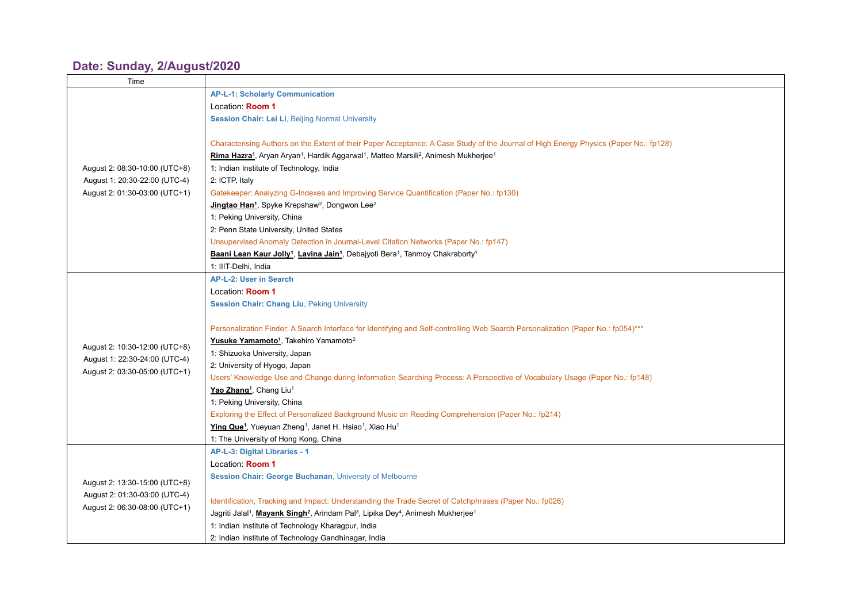## **Date: Sunday, [2/August/2020](https://www.conftool.net/demo/pro/index.php?page=browseSessions&print=export&ismobile=false&form_date=2021-02-28&mode=table&presentations=show)**

| Time                          |                                                                                                                                                  |
|-------------------------------|--------------------------------------------------------------------------------------------------------------------------------------------------|
|                               | <b>AP-L-1: Scholarly Communication</b>                                                                                                           |
|                               | Location: Room 1                                                                                                                                 |
|                               | <b>Session Chair: Lei Li, Beijing Normal University</b>                                                                                          |
|                               |                                                                                                                                                  |
|                               | Characterising Authors on the Extent of their Paper Acceptance: A Case Study of the Journal of High Energy Physics (Paper No.: fp128)            |
|                               | Rima Hazra <sup>1</sup> , Aryan Aryan <sup>1</sup> , Hardik Aggarwal <sup>1</sup> , Matteo Marsili <sup>2</sup> , Animesh Mukherjee <sup>1</sup> |
| August 2: 08:30-10:00 (UTC+8) | 1: Indian Institute of Technology, India                                                                                                         |
| August 1: 20:30-22:00 (UTC-4) | 2: ICTP, Italy                                                                                                                                   |
| August 2: 01:30-03:00 (UTC+1) | Gatekeeper: Analyzing G-Indexes and Improving Service Quantification (Paper No.: fp130)                                                          |
|                               | Jingtao Han <sup>1</sup> , Spyke Krepshaw <sup>2</sup> , Dongwon Lee <sup>2</sup>                                                                |
|                               | 1: Peking University, China                                                                                                                      |
|                               | 2: Penn State University, United States                                                                                                          |
|                               | Unsupervised Anomaly Detection in Journal-Level Citation Networks (Paper No.: fp147)                                                             |
|                               | Baani Lean Kaur Jolly <sup>1</sup> , Lavina Jain <sup>1</sup> , Debajyoti Bera <sup>1</sup> , Tanmoy Chakraborty <sup>1</sup>                    |
|                               | 1: IIIT-Delhi, India                                                                                                                             |
|                               | AP-L-2: User in Search                                                                                                                           |
|                               | Location: Room 1                                                                                                                                 |
|                               | <b>Session Chair: Chang Liu, Peking University</b>                                                                                               |
|                               |                                                                                                                                                  |
|                               | Personalization Finder: A Search Interface for Identifying and Self-controlling Web Search Personalization (Paper No.: fp054)***                 |
|                               | Yusuke Yamamoto <sup>1</sup> , Takehiro Yamamoto <sup>2</sup>                                                                                    |
| August 2: 10:30-12:00 (UTC+8) | 1: Shizuoka University, Japan                                                                                                                    |
| August 1: 22:30-24:00 (UTC-4) | 2: University of Hyogo, Japan                                                                                                                    |
| August 2: 03:30-05:00 (UTC+1) | Users' Knowledge Use and Change during Information Searching Process: A Perspective of Vocabulary Usage (Paper No.: fp148)                       |
|                               | Yao Zhang <sup>1</sup> , Chang Liu <sup>1</sup>                                                                                                  |
|                               | 1: Peking University, China                                                                                                                      |
|                               | Exploring the Effect of Personalized Background Music on Reading Comprehension (Paper No.: fp214)                                                |
|                               | Ying Que <sup>1</sup> , Yueyuan Zheng <sup>1</sup> , Janet H. Hsiao <sup>1</sup> , Xiao Hu <sup>1</sup>                                          |
|                               | 1: The University of Hong Kong, China                                                                                                            |
|                               | AP-L-3: Digital Libraries - 1                                                                                                                    |
|                               | Location: Room 1                                                                                                                                 |
|                               | Session Chair: George Buchanan, University of Melbourne                                                                                          |
| August 2: 13:30-15:00 (UTC+8) |                                                                                                                                                  |
| August 2: 01:30-03:00 (UTC-4) | Identification, Tracking and Impact: Understanding the Trade Secret of Catchphrases (Paper No.: fp026)                                           |
| August 2: 06:30-08:00 (UTC+1) | Jagriti Jalal <sup>1</sup> , Mayank Singh <sup>2</sup> , Arindam Pal <sup>3</sup> , Lipika Dey <sup>4</sup> , Animesh Mukherjee <sup>1</sup>     |
|                               | 1: Indian Institute of Technology Kharagpur, India                                                                                               |
|                               | 2: Indian Institute of Technology Gandhinagar, India                                                                                             |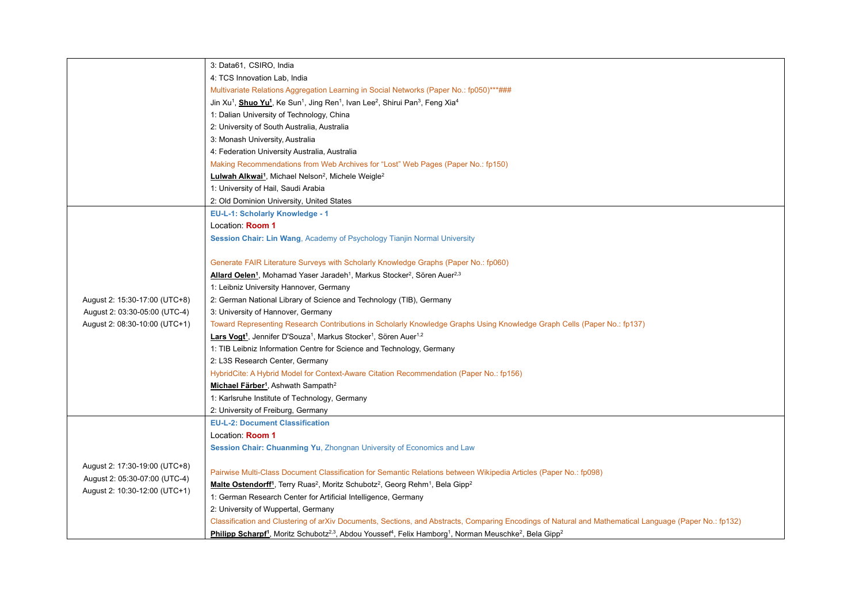|                               | 3: Data61, CSIRO, India                                                                                                                                                         |
|-------------------------------|---------------------------------------------------------------------------------------------------------------------------------------------------------------------------------|
|                               | 4: TCS Innovation Lab, India                                                                                                                                                    |
|                               | Multivariate Relations Aggregation Learning in Social Networks (Paper No.: fp050)***###                                                                                         |
|                               | Jin Xu <sup>1</sup> , <b>Shuo Yu<sup>1</sup></b> , Ke Sun <sup>1</sup> , Jing Ren <sup>1</sup> , Ivan Lee <sup>2</sup> , Shirui Pan <sup>3</sup> , Feng Xia <sup>4</sup>        |
|                               | 1: Dalian University of Technology, China                                                                                                                                       |
|                               | 2: University of South Australia, Australia                                                                                                                                     |
|                               | 3: Monash University, Australia                                                                                                                                                 |
|                               | 4: Federation University Australia, Australia                                                                                                                                   |
|                               | Making Recommendations from Web Archives for "Lost" Web Pages (Paper No.: fp150)                                                                                                |
|                               | Lulwah Alkwai <sup>1</sup> , Michael Nelson <sup>2</sup> , Michele Weigle <sup>2</sup>                                                                                          |
|                               | 1: University of Hail, Saudi Arabia                                                                                                                                             |
|                               | 2: Old Dominion University, United States                                                                                                                                       |
|                               | EU-L-1: Scholarly Knowledge - 1                                                                                                                                                 |
|                               | Location: Room 1                                                                                                                                                                |
|                               | Session Chair: Lin Wang, Academy of Psychology Tianjin Normal University                                                                                                        |
|                               |                                                                                                                                                                                 |
|                               | Generate FAIR Literature Surveys with Scholarly Knowledge Graphs (Paper No.: fp060)                                                                                             |
|                               | Allard Oelen <sup>1</sup> , Mohamad Yaser Jaradeh <sup>1</sup> , Markus Stocker <sup>2</sup> , Sören Auer <sup>2,3</sup>                                                        |
|                               | 1: Leibniz University Hannover, Germany                                                                                                                                         |
| August 2: 15:30-17:00 (UTC+8) | 2: German National Library of Science and Technology (TIB), Germany                                                                                                             |
| August 2: 03:30-05:00 (UTC-4) | 3: University of Hannover, Germany                                                                                                                                              |
| August 2: 08:30-10:00 (UTC+1) | Toward Representing Research Contributions in Scholarly Knowledge Graphs Using Knowledge Graph Cells (Paper No.: fp137)                                                         |
|                               | Lars Vogt <sup>1</sup> , Jennifer D'Souza <sup>1</sup> , Markus Stocker <sup>1</sup> , Sören Auer <sup>1,2</sup>                                                                |
|                               | 1: TIB Leibniz Information Centre for Science and Technology, Germany                                                                                                           |
|                               | 2: L3S Research Center, Germany                                                                                                                                                 |
|                               | HybridCite: A Hybrid Model for Context-Aware Citation Recommendation (Paper No.: fp156)                                                                                         |
|                               | Michael Färber <sup>1</sup> , Ashwath Sampath <sup>2</sup>                                                                                                                      |
|                               | 1: Karlsruhe Institute of Technology, Germany                                                                                                                                   |
|                               | 2: University of Freiburg, Germany                                                                                                                                              |
|                               | <b>EU-L-2: Document Classification</b>                                                                                                                                          |
|                               | Location: Room 1                                                                                                                                                                |
|                               | Session Chair: Chuanming Yu, Zhongnan University of Economics and Law                                                                                                           |
| August 2: 17:30-19:00 (UTC+8) |                                                                                                                                                                                 |
| August 2: 05:30-07:00 (UTC-4) | Pairwise Multi-Class Document Classification for Semantic Relations between Wikipedia Articles (Paper No.: fp098)                                                               |
| August 2: 10:30-12:00 (UTC+1) | Malte Ostendorff <sup>1</sup> , Terry Ruas <sup>2</sup> , Moritz Schubotz <sup>2</sup> , Georg Rehm <sup>1</sup> , Bela Gipp <sup>2</sup>                                       |
|                               | 1: German Research Center for Artificial Intelligence, Germany                                                                                                                  |
|                               | 2: University of Wuppertal, Germany                                                                                                                                             |
|                               | Classification and Clustering of arXiv Documents, Sections, and Abstracts, Comparing Encodings of Natural and Mathematical Language (Paper No.: fp132)                          |
|                               | Philipp Scharpf <sup>1</sup> , Moritz Schubotz <sup>2,3</sup> , Abdou Youssef <sup>4</sup> , Felix Hamborg <sup>1</sup> , Norman Meuschke <sup>2</sup> , Bela Gipp <sup>2</sup> |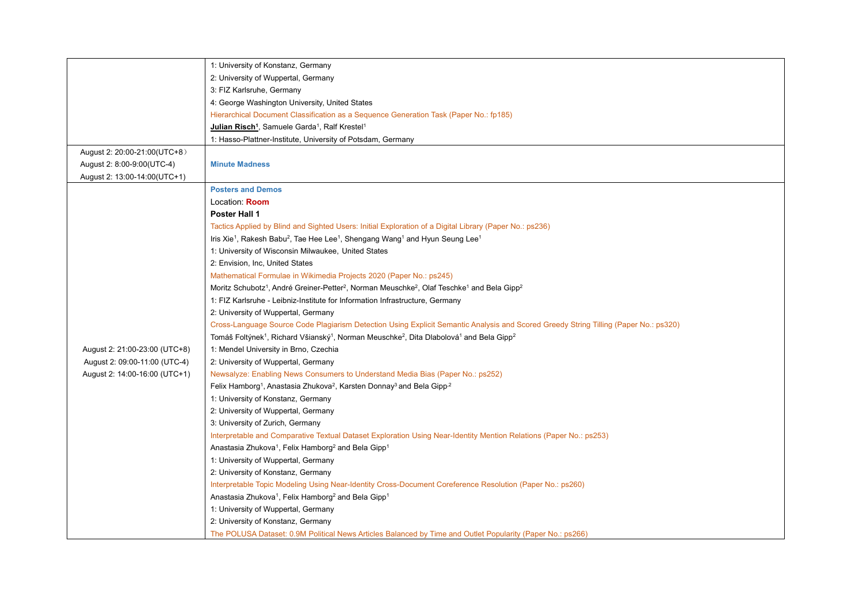|                               | 1: University of Konstanz, Germany                                                                                                                     |
|-------------------------------|--------------------------------------------------------------------------------------------------------------------------------------------------------|
|                               | 2: University of Wuppertal, Germany                                                                                                                    |
|                               | 3: FIZ Karlsruhe, Germany                                                                                                                              |
|                               | 4: George Washington University, United States                                                                                                         |
|                               | Hierarchical Document Classification as a Sequence Generation Task (Paper No.: fp185)                                                                  |
|                               | Julian Risch <sup>1</sup> , Samuele Garda <sup>1</sup> , Ralf Krestel <sup>1</sup>                                                                     |
|                               | 1: Hasso-Plattner-Institute, University of Potsdam, Germany                                                                                            |
| August 2: 20:00-21:00(UTC+8)  |                                                                                                                                                        |
| August 2: 8:00-9:00(UTC-4)    | <b>Minute Madness</b>                                                                                                                                  |
| August 2: 13:00-14:00(UTC+1)  |                                                                                                                                                        |
|                               | <b>Posters and Demos</b>                                                                                                                               |
|                               | Location: Room                                                                                                                                         |
|                               | <b>Poster Hall 1</b>                                                                                                                                   |
|                               | Tactics Applied by Blind and Sighted Users: Initial Exploration of a Digital Library (Paper No.: ps236)                                                |
|                               | Iris Xie <sup>1</sup> , Rakesh Babu <sup>2</sup> , Tae Hee Lee <sup>1</sup> , Shengang Wang <sup>1</sup> and Hyun Seung Lee <sup>1</sup>               |
|                               | 1: University of Wisconsin Milwaukee, United States                                                                                                    |
|                               | 2: Envision, Inc, United States                                                                                                                        |
|                               | Mathematical Formulae in Wikimedia Projects 2020 (Paper No.: ps245)                                                                                    |
|                               | Moritz Schubotz <sup>1</sup> , André Greiner-Petter <sup>2</sup> , Norman Meuschke <sup>2</sup> , Olaf Teschke <sup>1</sup> and Bela Gipp <sup>2</sup> |
|                               | 1: FIZ Karlsruhe - Leibniz-Institute for Information Infrastructure, Germany                                                                           |
|                               | 2: University of Wuppertal, Germany                                                                                                                    |
|                               | Cross-Language Source Code Plagiarism Detection Using Explicit Semantic Analysis and Scored Greedy String Tilling (Paper No.: ps320)                   |
|                               | Tomáš Foltýnek <sup>1</sup> , Richard Všianský <sup>1</sup> , Norman Meuschke <sup>2</sup> , Dita Dlabolová <sup>1</sup> and Bela Gipp <sup>2</sup>    |
| August 2: 21:00-23:00 (UTC+8) | 1: Mendel University in Brno, Czechia                                                                                                                  |
| August 2: 09:00-11:00 (UTC-4) | 2: University of Wuppertal, Germany                                                                                                                    |
| August 2: 14:00-16:00 (UTC+1) | Newsalyze: Enabling News Consumers to Understand Media Bias (Paper No.: ps252)                                                                         |
|                               | Felix Hamborg <sup>1</sup> , Anastasia Zhukova <sup>2</sup> , Karsten Donnay <sup>3</sup> and Bela Gipp <sup>2</sup>                                   |
|                               | 1: University of Konstanz, Germany                                                                                                                     |
|                               | 2: University of Wuppertal, Germany                                                                                                                    |
|                               | 3: University of Zurich, Germany                                                                                                                       |
|                               | Interpretable and Comparative Textual Dataset Exploration Using Near-Identity Mention Relations (Paper No.: ps253)                                     |
|                               | Anastasia Zhukova <sup>1</sup> , Felix Hamborg <sup>2</sup> and Bela Gipp <sup>1</sup>                                                                 |
|                               | 1: University of Wuppertal, Germany                                                                                                                    |
|                               | 2: University of Konstanz, Germany                                                                                                                     |
|                               | Interpretable Topic Modeling Using Near-Identity Cross-Document Coreference Resolution (Paper No.: ps260)                                              |
|                               | Anastasia Zhukova <sup>1</sup> , Felix Hamborg <sup>2</sup> and Bela Gipp <sup>1</sup>                                                                 |
|                               | 1: University of Wuppertal, Germany                                                                                                                    |
|                               | 2: University of Konstanz, Germany                                                                                                                     |
|                               | The POLUSA Dataset: 0.9M Political News Articles Balanced by Time and Outlet Popularity (Paper No.: ps266)                                             |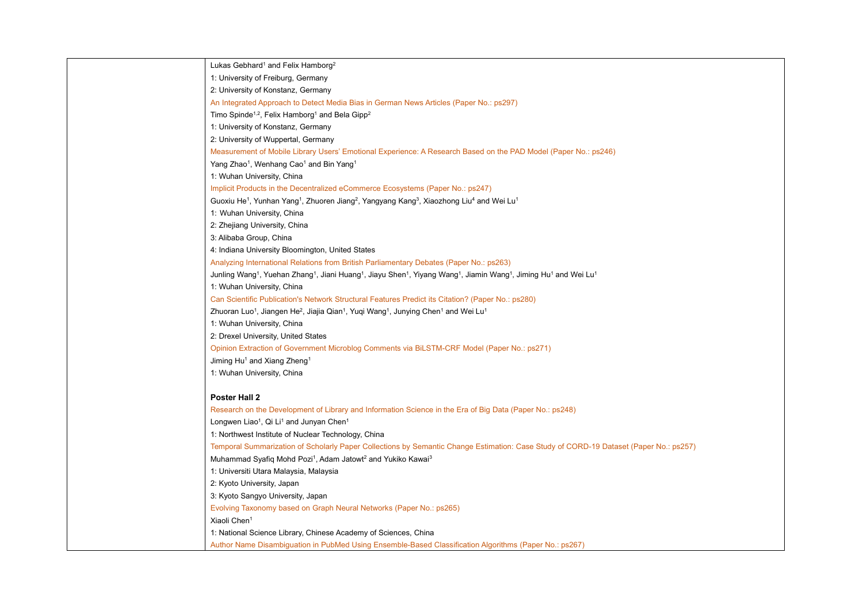| Lukas Gebhard <sup>1</sup> and Felix Hamborg <sup>2</sup>                                                                                                                                                         |
|-------------------------------------------------------------------------------------------------------------------------------------------------------------------------------------------------------------------|
| 1: University of Freiburg, Germany                                                                                                                                                                                |
| 2: University of Konstanz, Germany                                                                                                                                                                                |
| An Integrated Approach to Detect Media Bias in German News Articles (Paper No.: ps297)                                                                                                                            |
| Timo Spinde <sup>1,2</sup> , Felix Hamborg <sup>1</sup> and Bela Gipp <sup>2</sup>                                                                                                                                |
| 1: University of Konstanz, Germany                                                                                                                                                                                |
| 2: University of Wuppertal, Germany                                                                                                                                                                               |
| Measurement of Mobile Library Users' Emotional Experience: A Research Based on the PAD Model (Paper No.: ps246)                                                                                                   |
| Yang Zhao <sup>1</sup> , Wenhang Cao <sup>1</sup> and Bin Yang <sup>1</sup>                                                                                                                                       |
| 1: Wuhan University, China                                                                                                                                                                                        |
| Implicit Products in the Decentralized eCommerce Ecosystems (Paper No.: ps247)                                                                                                                                    |
| Guoxiu He <sup>1</sup> , Yunhan Yang <sup>1</sup> , Zhuoren Jiang <sup>2</sup> , Yangyang Kang <sup>3</sup> , Xiaozhong Liu <sup>4</sup> and Wei Lu <sup>1</sup>                                                  |
| 1: Wuhan University, China                                                                                                                                                                                        |
| 2: Zhejiang University, China                                                                                                                                                                                     |
| 3: Alibaba Group, China                                                                                                                                                                                           |
| 4: Indiana University Bloomington, United States                                                                                                                                                                  |
| Analyzing International Relations from British Parliamentary Debates (Paper No.: ps263)                                                                                                                           |
| Junling Wang <sup>1</sup> , Yuehan Zhang <sup>1</sup> , Jiani Huang <sup>1</sup> , Jiayu Shen <sup>1</sup> , Yiyang Wang <sup>1</sup> , Jiamin Wang <sup>1</sup> , Jiming Hu <sup>1</sup> and Wei Lu <sup>1</sup> |
| 1: Wuhan University, China                                                                                                                                                                                        |
| Can Scientific Publication's Network Structural Features Predict its Citation? (Paper No.: ps280)                                                                                                                 |
| Zhuoran Luo <sup>1</sup> , Jiangen He <sup>2</sup> , Jiajia Qian <sup>1</sup> , Yuqi Wang <sup>1</sup> , Junying Chen <sup>1</sup> and Wei Lu <sup>1</sup>                                                        |
| 1: Wuhan University, China                                                                                                                                                                                        |
| 2: Drexel University, United States                                                                                                                                                                               |
| Opinion Extraction of Government Microblog Comments via BiLSTM-CRF Model (Paper No.: ps271)                                                                                                                       |
| Jiming Hu <sup>1</sup> and Xiang Zheng <sup>1</sup>                                                                                                                                                               |
| 1: Wuhan University, China                                                                                                                                                                                        |
|                                                                                                                                                                                                                   |
| <b>Poster Hall 2</b>                                                                                                                                                                                              |
| Research on the Development of Library and Information Science in the Era of Big Data (Paper No.: ps248)                                                                                                          |
| Longwen Liao <sup>1</sup> , Qi Li <sup>1</sup> and Junyan Chen <sup>1</sup>                                                                                                                                       |
| 1: Northwest Institute of Nuclear Technology, China                                                                                                                                                               |
| Temporal Summarization of Scholarly Paper Collections by Semantic Change Estimation: Case Study of CORD-19 Dataset (Paper No.: ps257)                                                                             |
| Muhammad Syafiq Mohd Pozi <sup>1</sup> , Adam Jatowt <sup>2</sup> and Yukiko Kawai <sup>3</sup>                                                                                                                   |
| 1: Universiti Utara Malaysia, Malaysia                                                                                                                                                                            |
| 2: Kyoto University, Japan                                                                                                                                                                                        |
| 3: Kyoto Sangyo University, Japan                                                                                                                                                                                 |
| Evolving Taxonomy based on Graph Neural Networks (Paper No.: ps265)                                                                                                                                               |
| Xiaoli Chen <sup>1</sup>                                                                                                                                                                                          |
| 1: National Science Library, Chinese Academy of Sciences, China                                                                                                                                                   |
| Author Name Disambiguation in PubMed Using Ensemble-Based Classification Algorithms (Paper No.: ps267)                                                                                                            |
|                                                                                                                                                                                                                   |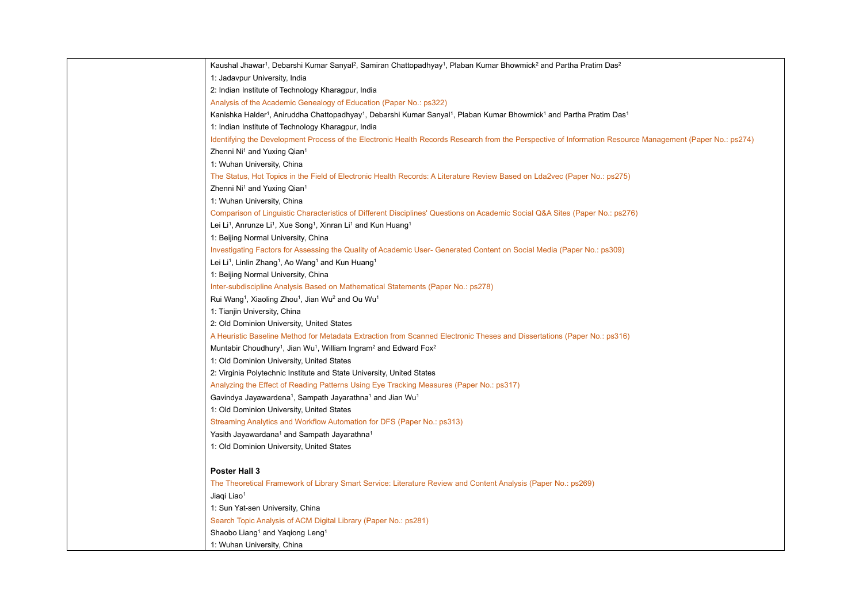| Kaushal Jhawar <sup>1</sup> , Debarshi Kumar Sanyal <sup>2</sup> , Samiran Chattopadhyay <sup>1</sup> , Plaban Kumar Bhowmick <sup>2</sup> and Partha Pratim Das <sup>2</sup>    |
|----------------------------------------------------------------------------------------------------------------------------------------------------------------------------------|
| 1: Jadavpur University, India                                                                                                                                                    |
| 2: Indian Institute of Technology Kharagpur, India                                                                                                                               |
| Analysis of the Academic Genealogy of Education (Paper No.: ps322)                                                                                                               |
| Kanishka Halder <sup>1</sup> , Aniruddha Chattopadhyay <sup>1</sup> , Debarshi Kumar Sanyal <sup>1</sup> , Plaban Kumar Bhowmick <sup>1</sup> and Partha Pratim Das <sup>1</sup> |
| 1: Indian Institute of Technology Kharagpur, India                                                                                                                               |
| Identifying the Development Process of the Electronic Health Records Research from the Perspective of Information Resource Management (Paper No.: ps274)                         |
| Zhenni Ni <sup>1</sup> and Yuxing Qian <sup>1</sup>                                                                                                                              |
| 1: Wuhan University, China                                                                                                                                                       |
| The Status, Hot Topics in the Field of Electronic Health Records: A Literature Review Based on Lda2vec (Paper No.: ps275)                                                        |
| Zhenni Ni <sup>1</sup> and Yuxing Qian <sup>1</sup>                                                                                                                              |
| 1: Wuhan University, China                                                                                                                                                       |
| Comparison of Linguistic Characteristics of Different Disciplines' Questions on Academic Social Q&A Sites (Paper No.: ps276)                                                     |
| Lei Li <sup>1</sup> , Anrunze Li <sup>1</sup> , Xue Song <sup>1</sup> , Xinran Li <sup>1</sup> and Kun Huang <sup>1</sup>                                                        |
| 1: Beijing Normal University, China                                                                                                                                              |
| Investigating Factors for Assessing the Quality of Academic User- Generated Content on Social Media (Paper No.: ps309)                                                           |
| Lei Li <sup>1</sup> , Linlin Zhang <sup>1</sup> , Ao Wang <sup>1</sup> and Kun Huang <sup>1</sup>                                                                                |
| 1: Beijing Normal University, China                                                                                                                                              |
| Inter-subdiscipline Analysis Based on Mathematical Statements (Paper No.: ps278)                                                                                                 |
| Rui Wang <sup>1</sup> , Xiaoling Zhou <sup>1</sup> , Jian Wu <sup>2</sup> and Ou Wu <sup>1</sup>                                                                                 |
| 1: Tianjin University, China                                                                                                                                                     |
| 2: Old Dominion University, United States                                                                                                                                        |
| A Heuristic Baseline Method for Metadata Extraction from Scanned Electronic Theses and Dissertations (Paper No.: ps316)                                                          |
| Muntabir Choudhury <sup>1</sup> , Jian Wu <sup>1</sup> , William Ingram <sup>2</sup> and Edward Fox <sup>2</sup>                                                                 |
| 1: Old Dominion University, United States                                                                                                                                        |
| 2: Virginia Polytechnic Institute and State University, United States                                                                                                            |
| Analyzing the Effect of Reading Patterns Using Eye Tracking Measures (Paper No.: ps317)                                                                                          |
| Gavindya Jayawardena <sup>1</sup> , Sampath Jayarathna <sup>1</sup> and Jian Wu <sup>1</sup>                                                                                     |
| 1: Old Dominion University, United States                                                                                                                                        |
| Streaming Analytics and Workflow Automation for DFS (Paper No.: ps313)                                                                                                           |
| Yasith Jayawardana <sup>1</sup> and Sampath Jayarathna <sup>1</sup>                                                                                                              |
| 1: Old Dominion University, United States                                                                                                                                        |
|                                                                                                                                                                                  |
| Poster Hall 3                                                                                                                                                                    |
| The Theoretical Framework of Library Smart Service: Literature Review and Content Analysis (Paper No.: ps269)                                                                    |
| Jiaqi Liao <sup>1</sup>                                                                                                                                                          |
| 1: Sun Yat-sen University, China                                                                                                                                                 |
| Search Topic Analysis of ACM Digital Library (Paper No.: ps281)                                                                                                                  |
| Shaobo Liang <sup>1</sup> and Yaqiong Leng <sup>1</sup>                                                                                                                          |
| 1: Wuhan University, China                                                                                                                                                       |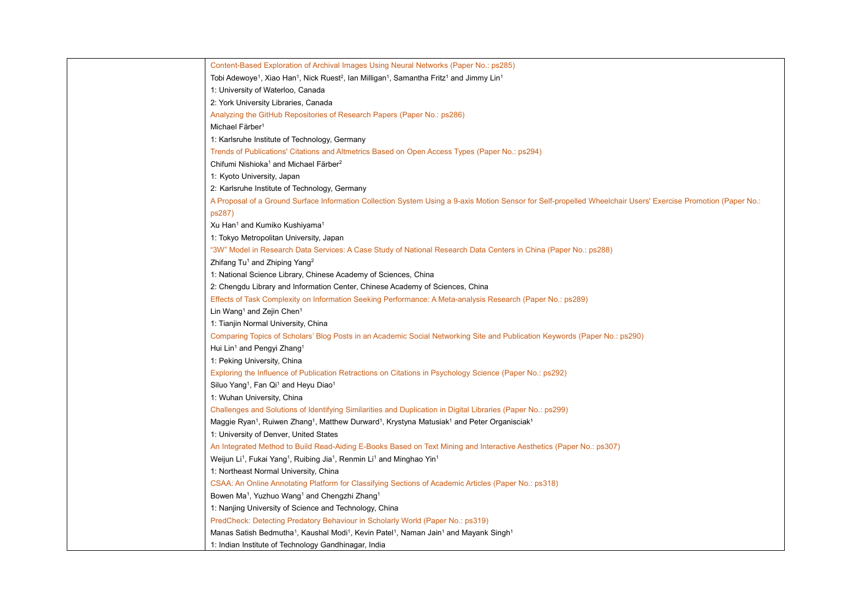| Content-Based Exploration of Archival Images Using Neural Networks (Paper No.: ps285)                                                                            |
|------------------------------------------------------------------------------------------------------------------------------------------------------------------|
| Tobi Adewoye <sup>1</sup> , Xiao Han <sup>1</sup> , Nick Ruest <sup>2</sup> , Ian Milligan <sup>1</sup> , Samantha Fritz <sup>1</sup> and Jimmy Lin <sup>1</sup> |
| 1: University of Waterloo, Canada                                                                                                                                |
| 2: York University Libraries, Canada                                                                                                                             |
| Analyzing the GitHub Repositories of Research Papers (Paper No.: ps286)                                                                                          |
| Michael Färber <sup>1</sup>                                                                                                                                      |
| 1: Karlsruhe Institute of Technology, Germany                                                                                                                    |
| Trends of Publications' Citations and Altmetrics Based on Open Access Types (Paper No.: ps294)                                                                   |
| Chifumi Nishioka <sup>1</sup> and Michael Färber <sup>2</sup>                                                                                                    |
| 1: Kyoto University, Japan                                                                                                                                       |
| 2: Karlsruhe Institute of Technology, Germany                                                                                                                    |
| A Proposal of a Ground Surface Information Collection System Using a 9-axis Motion Sensor for Self-propelled Wheelchair Users' Exercise Promotion (Paper No.:    |
| ps287)                                                                                                                                                           |
| Xu Han <sup>1</sup> and Kumiko Kushiyama <sup>1</sup>                                                                                                            |
| 1: Tokyo Metropolitan University, Japan                                                                                                                          |
| "3W" Model in Research Data Services: A Case Study of National Research Data Centers in China (Paper No.: ps288)                                                 |
| Zhifang Tu <sup>1</sup> and Zhiping Yang <sup>2</sup>                                                                                                            |
| 1: National Science Library, Chinese Academy of Sciences, China                                                                                                  |
| 2: Chengdu Library and Information Center, Chinese Academy of Sciences, China                                                                                    |
| Effects of Task Complexity on Information Seeking Performance: A Meta-analysis Research (Paper No.: ps289)                                                       |
| Lin Wang <sup>1</sup> and Zejin Chen <sup>1</sup>                                                                                                                |
| 1: Tianjin Normal University, China                                                                                                                              |
| Comparing Topics of Scholars' Blog Posts in an Academic Social Networking Site and Publication Keywords (Paper No.: ps290)                                       |
| Hui Lin <sup>1</sup> and Pengyi Zhang <sup>1</sup>                                                                                                               |
| 1: Peking University, China                                                                                                                                      |
| Exploring the Influence of Publication Retractions on Citations in Psychology Science (Paper No.: ps292)                                                         |
| Siluo Yang <sup>1</sup> , Fan Qi <sup>1</sup> and Heyu Diao <sup>1</sup>                                                                                         |
| 1: Wuhan University, China                                                                                                                                       |
| Challenges and Solutions of Identifying Similarities and Duplication in Digital Libraries (Paper No.: ps299)                                                     |
| Maggie Ryan <sup>1</sup> , Ruiwen Zhang <sup>1</sup> , Matthew Durward <sup>1</sup> , Krystyna Matusiak <sup>1</sup> and Peter Organisciak <sup>1</sup>          |
| 1: University of Denver, United States                                                                                                                           |
| An Integrated Method to Build Read-Aiding E-Books Based on Text Mining and Interactive Aesthetics (Paper No.: ps307)                                             |
| Weijun Li <sup>1</sup> , Fukai Yang <sup>1</sup> , Ruibing Jia <sup>1</sup> , Renmin Li <sup>1</sup> and Minghao Yin <sup>1</sup>                                |
| 1: Northeast Normal University, China                                                                                                                            |
| CSAA: An Online Annotating Platform for Classifying Sections of Academic Articles (Paper No.: ps318)                                                             |
| Bowen Ma <sup>1</sup> , Yuzhuo Wang <sup>1</sup> and Chengzhi Zhang <sup>1</sup>                                                                                 |
| 1: Nanjing University of Science and Technology, China                                                                                                           |
| PredCheck: Detecting Predatory Behaviour in Scholarly World (Paper No.: ps319)                                                                                   |
| Manas Satish Bedmutha <sup>1</sup> , Kaushal Modi <sup>1</sup> , Kevin Patel <sup>1</sup> , Naman Jain <sup>1</sup> and Mayank Singh <sup>1</sup>                |
| 1: Indian Institute of Technology Gandhinagar, India                                                                                                             |
|                                                                                                                                                                  |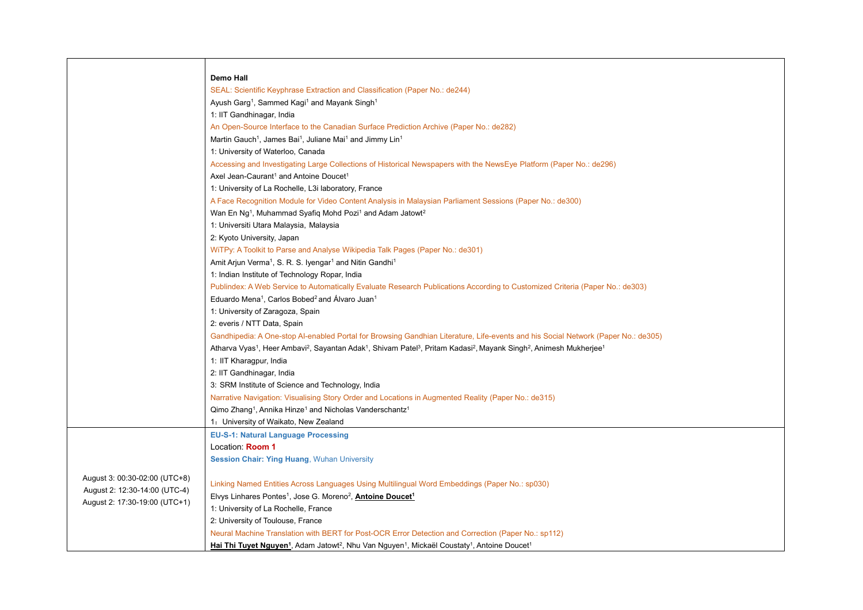|                               | <b>Demo Hall</b>                                                                                                                                                                                        |  |
|-------------------------------|---------------------------------------------------------------------------------------------------------------------------------------------------------------------------------------------------------|--|
|                               | SEAL: Scientific Keyphrase Extraction and Classification (Paper No.: de244)                                                                                                                             |  |
|                               | Ayush Garg <sup>1</sup> , Sammed Kagi <sup>1</sup> and Mayank Singh <sup>1</sup>                                                                                                                        |  |
|                               | 1: IIT Gandhinagar, India                                                                                                                                                                               |  |
|                               | An Open-Source Interface to the Canadian Surface Prediction Archive (Paper No.: de282)                                                                                                                  |  |
|                               | Martin Gauch <sup>1</sup> , James Bai <sup>1</sup> , Juliane Mai <sup>1</sup> and Jimmy Lin <sup>1</sup>                                                                                                |  |
|                               | 1: University of Waterloo, Canada                                                                                                                                                                       |  |
|                               | Accessing and Investigating Large Collections of Historical Newspapers with the NewsEye Platform (Paper No.: de296)                                                                                     |  |
|                               | Axel Jean-Caurant <sup>1</sup> and Antoine Doucet <sup>1</sup>                                                                                                                                          |  |
|                               | 1: University of La Rochelle, L3i laboratory, France                                                                                                                                                    |  |
|                               | A Face Recognition Module for Video Content Analysis in Malaysian Parliament Sessions (Paper No.: de300)                                                                                                |  |
|                               | Wan En Ng <sup>1</sup> , Muhammad Syafiq Mohd Pozi <sup>1</sup> and Adam Jatowt <sup>2</sup>                                                                                                            |  |
|                               | 1: Universiti Utara Malaysia, Malaysia                                                                                                                                                                  |  |
|                               | 2: Kyoto University, Japan                                                                                                                                                                              |  |
|                               | WiTPy: A Toolkit to Parse and Analyse Wikipedia Talk Pages (Paper No.: de301)                                                                                                                           |  |
|                               | Amit Arjun Verma <sup>1</sup> , S. R. S. Iyengar <sup>1</sup> and Nitin Gandhi <sup>1</sup>                                                                                                             |  |
|                               | 1: Indian Institute of Technology Ropar, India                                                                                                                                                          |  |
|                               | Publindex: A Web Service to Automatically Evaluate Research Publications According to Customized Criteria (Paper No.: de303)                                                                            |  |
|                               | Eduardo Mena <sup>1</sup> , Carlos Bobed <sup>2</sup> and Alvaro Juan <sup>1</sup>                                                                                                                      |  |
|                               | 1: University of Zaragoza, Spain                                                                                                                                                                        |  |
|                               | 2: everis / NTT Data, Spain                                                                                                                                                                             |  |
|                               | Gandhipedia: A One-stop Al-enabled Portal for Browsing Gandhian Literature, Life-events and his Social Network (Paper No.: de305)                                                                       |  |
|                               | Atharva Vyas <sup>1</sup> , Heer Ambavi <sup>2</sup> , Sayantan Adak <sup>1</sup> , Shivam Patel <sup>3</sup> , Pritam Kadasi <sup>2</sup> , Mayank Singh <sup>2</sup> , Animesh Mukherjee <sup>1</sup> |  |
|                               | 1: IIT Kharagpur, India                                                                                                                                                                                 |  |
|                               | 2: IIT Gandhinagar, India                                                                                                                                                                               |  |
|                               | 3: SRM Institute of Science and Technology, India                                                                                                                                                       |  |
|                               | Narrative Navigation: Visualising Story Order and Locations in Augmented Reality (Paper No.: de315)                                                                                                     |  |
|                               | Qimo Zhang <sup>1</sup> , Annika Hinze <sup>1</sup> and Nicholas Vanderschantz <sup>1</sup>                                                                                                             |  |
|                               | 1. University of Waikato, New Zealand                                                                                                                                                                   |  |
|                               | <b>EU-S-1: Natural Language Processing</b>                                                                                                                                                              |  |
|                               | Location: Room 1                                                                                                                                                                                        |  |
|                               | <b>Session Chair: Ying Huang, Wuhan University</b>                                                                                                                                                      |  |
| August 3: 00:30-02:00 (UTC+8) |                                                                                                                                                                                                         |  |
| August 2: 12:30-14:00 (UTC-4) | Linking Named Entities Across Languages Using Multilingual Word Embeddings (Paper No.: sp030)                                                                                                           |  |
| August 2: 17:30-19:00 (UTC+1) | Elvys Linhares Pontes <sup>1</sup> , Jose G. Moreno <sup>2</sup> , <b>Antoine Doucet<sup>1</sup></b>                                                                                                    |  |
|                               | 1: University of La Rochelle, France                                                                                                                                                                    |  |
|                               | 2: University of Toulouse, France                                                                                                                                                                       |  |
|                               | Neural Machine Translation with BERT for Post-OCR Error Detection and Correction (Paper No.: sp112)                                                                                                     |  |
|                               | <b>Hai Thi Tuyet Nguyen<sup>1</sup></b> , Adam Jatowt <sup>2</sup> , Nhu Van Nguyen <sup>1</sup> , Mickaël Coustaty <sup>1</sup> , Antoine Doucet <sup>1</sup>                                          |  |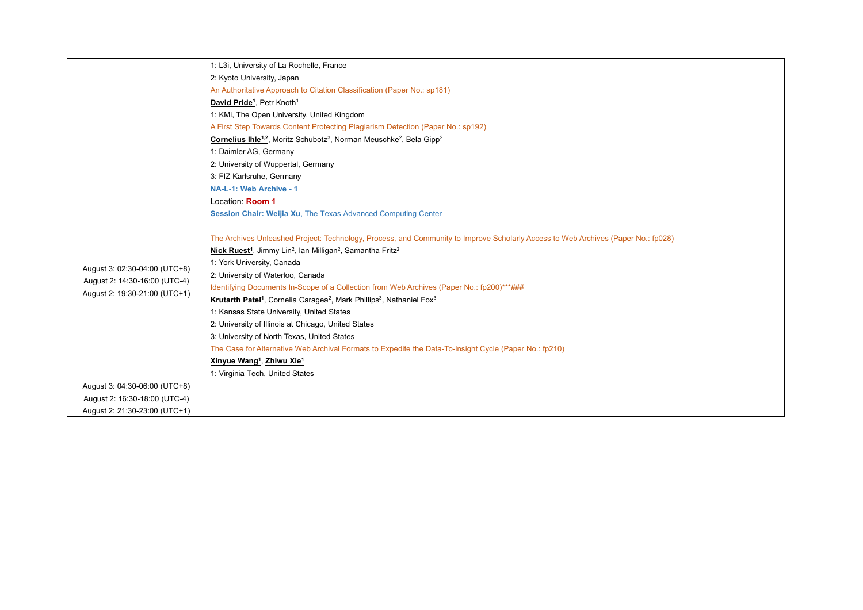|                               | 1: L3i, University of La Rochelle, France                                                                                         |
|-------------------------------|-----------------------------------------------------------------------------------------------------------------------------------|
|                               | 2: Kyoto University, Japan                                                                                                        |
|                               | An Authoritative Approach to Citation Classification (Paper No.: sp181)                                                           |
|                               | David Pride <sup>1</sup> , Petr Knoth <sup>1</sup>                                                                                |
|                               | 1: KMi, The Open University, United Kingdom                                                                                       |
|                               | A First Step Towards Content Protecting Plagiarism Detection (Paper No.: sp192)                                                   |
|                               | Cornelius Ihle <sup>1,2</sup> , Moritz Schubotz <sup>3</sup> , Norman Meuschke <sup>2</sup> , Bela Gipp <sup>2</sup>              |
|                               | 1: Daimler AG, Germany                                                                                                            |
|                               | 2: University of Wuppertal, Germany                                                                                               |
|                               | 3: FIZ Karlsruhe, Germany                                                                                                         |
|                               | NA-L-1: Web Archive - 1                                                                                                           |
|                               | Location: Room 1                                                                                                                  |
|                               | Session Chair: Weijia Xu, The Texas Advanced Computing Center                                                                     |
|                               |                                                                                                                                   |
|                               | The Archives Unleashed Project: Technology, Process, and Community to Improve Scholarly Access to Web Archives (Paper No.: fp028) |
|                               | Nick Ruest <sup>1</sup> , Jimmy Lin <sup>2</sup> , Ian Milligan <sup>2</sup> , Samantha Fritz <sup>2</sup>                        |
|                               | 1: York University, Canada                                                                                                        |
| August 3: 02:30-04:00 (UTC+8) | 2: University of Waterloo, Canada                                                                                                 |
| August 2: 14:30-16:00 (UTC-4) | Identifying Documents In-Scope of a Collection from Web Archives (Paper No.: fp200)***###                                         |
| August 2: 19:30-21:00 (UTC+1) | Krutarth Patel <sup>1</sup> , Cornelia Caragea <sup>2</sup> , Mark Phillips <sup>3</sup> , Nathaniel Fox <sup>3</sup>             |
|                               | 1: Kansas State University, United States                                                                                         |
|                               | 2: University of Illinois at Chicago, United States                                                                               |
|                               | 3: University of North Texas, United States                                                                                       |
|                               | The Case for Alternative Web Archival Formats to Expedite the Data-To-Insight Cycle (Paper No.: fp210)                            |
|                               | Xinyue Wang <sup>1</sup> , Zhiwu Xie <sup>1</sup>                                                                                 |
|                               | 1: Virginia Tech, United States                                                                                                   |
| August 3: 04:30-06:00 (UTC+8) |                                                                                                                                   |
| August 2: 16:30-18:00 (UTC-4) |                                                                                                                                   |
| August 2: 21:30-23:00 (UTC+1) |                                                                                                                                   |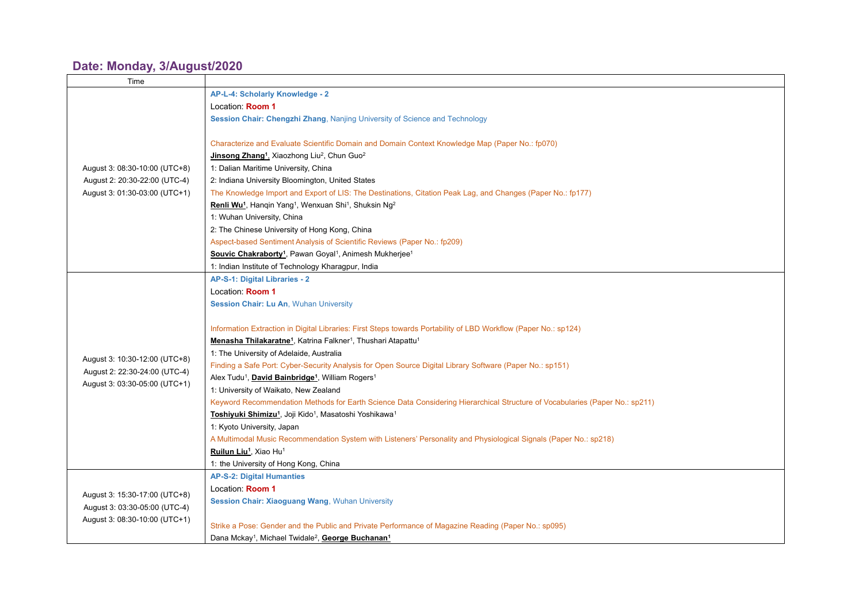#### **Date: Monday, [3/August/2020](https://www.conftool.net/demo/pro/index.php?page=browseSessions&print=export&ismobile=false&form_date=2021-02-28&mode=table&presentations=show)**

| Time                          |                                                                                                                             |
|-------------------------------|-----------------------------------------------------------------------------------------------------------------------------|
|                               | AP-L-4: Scholarly Knowledge - 2                                                                                             |
|                               | Location: Room 1                                                                                                            |
|                               | Session Chair: Chengzhi Zhang, Nanjing University of Science and Technology                                                 |
|                               |                                                                                                                             |
|                               | Characterize and Evaluate Scientific Domain and Domain Context Knowledge Map (Paper No.: fp070)                             |
|                               | Jinsong Zhang <sup>1</sup> , Xiaozhong Liu <sup>2</sup> , Chun Guo <sup>2</sup>                                             |
| August 3: 08:30-10:00 (UTC+8) | 1: Dalian Maritime University, China                                                                                        |
| August 2: 20:30-22:00 (UTC-4) | 2: Indiana University Bloomington, United States                                                                            |
| August 3: 01:30-03:00 (UTC+1) | The Knowledge Import and Export of LIS: The Destinations, Citation Peak Lag, and Changes (Paper No.: fp177)                 |
|                               | Renli Wu <sup>1</sup> , Hangin Yang <sup>1</sup> , Wenxuan Shi <sup>1</sup> , Shuksin Ng <sup>2</sup>                       |
|                               | 1: Wuhan University, China                                                                                                  |
|                               | 2: The Chinese University of Hong Kong, China                                                                               |
|                               | Aspect-based Sentiment Analysis of Scientific Reviews (Paper No.: fp209)                                                    |
|                               | Souvic Chakraborty <sup>1</sup> , Pawan Goyal <sup>1</sup> , Animesh Mukherjee <sup>1</sup>                                 |
|                               | 1: Indian Institute of Technology Kharagpur, India                                                                          |
|                               | AP-S-1: Digital Libraries - 2                                                                                               |
|                               | Location: Room 1                                                                                                            |
|                               | Session Chair: Lu An, Wuhan University                                                                                      |
|                               |                                                                                                                             |
|                               | Information Extraction in Digital Libraries: First Steps towards Portability of LBD Workflow (Paper No.: sp124)             |
|                               | Menasha Thilakaratne <sup>1</sup> , Katrina Falkner <sup>1</sup> , Thushari Atapattu <sup>1</sup>                           |
|                               | 1: The University of Adelaide, Australia                                                                                    |
| August 3: 10:30-12:00 (UTC+8) | Finding a Safe Port: Cyber-Security Analysis for Open Source Digital Library Software (Paper No.: sp151)                    |
| August 2: 22:30-24:00 (UTC-4) | Alex Tudu <sup>1</sup> , David Bainbridge <sup>1</sup> , William Rogers <sup>1</sup>                                        |
| August 3: 03:30-05:00 (UTC+1) | 1: University of Waikato, New Zealand                                                                                       |
|                               | Keyword Recommendation Methods for Earth Science Data Considering Hierarchical Structure of Vocabularies (Paper No.: sp211) |
|                               | Toshiyuki Shimizu <sup>1</sup> , Joji Kido <sup>1</sup> , Masatoshi Yoshikawa <sup>1</sup>                                  |
|                               | 1: Kyoto University, Japan                                                                                                  |
|                               | A Multimodal Music Recommendation System with Listeners' Personality and Physiological Signals (Paper No.: sp218)           |
|                               | Ruilun Liu <sup>1</sup> , Xiao Hu <sup>1</sup>                                                                              |
|                               | 1: the University of Hong Kong, China                                                                                       |
|                               | <b>AP-S-2: Digital Humanties</b>                                                                                            |
| August 3: 15:30-17:00 (UTC+8) | Location: <b>Room 1</b>                                                                                                     |
| August 3: 03:30-05:00 (UTC-4) | Session Chair: Xiaoguang Wang, Wuhan University                                                                             |
|                               |                                                                                                                             |
| August 3: 08:30-10:00 (UTC+1) | Strike a Pose: Gender and the Public and Private Performance of Magazine Reading (Paper No.: sp095)                         |
|                               | Dana Mckay <sup>1</sup> , Michael Twidale <sup>2</sup> , George Buchanan <sup>1</sup>                                       |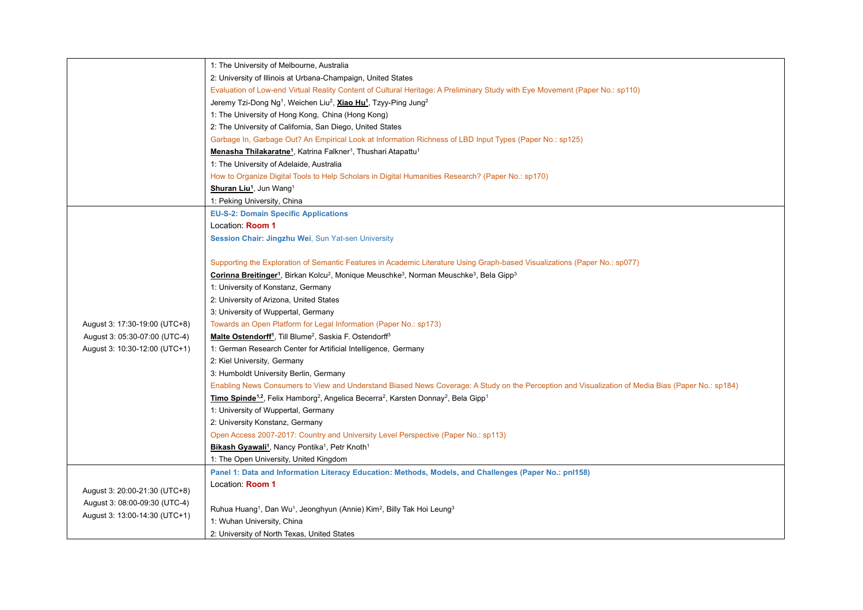|                               | 1: The University of Melbourne, Australia                                                                                                           |
|-------------------------------|-----------------------------------------------------------------------------------------------------------------------------------------------------|
|                               | 2: University of Illinois at Urbana-Champaign, United States                                                                                        |
|                               | Evaluation of Low-end Virtual Reality Content of Cultural Heritage: A Preliminary Study with Eye Movement (Paper No.: sp110)                        |
|                               | Jeremy Tzi-Dong Ng <sup>1</sup> , Weichen Liu <sup>2</sup> , Xiao Hu <sup>1</sup> , Tzyy-Ping Jung <sup>2</sup>                                     |
|                               | 1: The University of Hong Kong, China (Hong Kong)                                                                                                   |
|                               | 2: The University of California, San Diego, United States                                                                                           |
|                               | Garbage In, Garbage Out? An Empirical Look at Information Richness of LBD Input Types (Paper No.: sp125)                                            |
|                               | Menasha Thilakaratne <sup>1</sup> , Katrina Falkner <sup>1</sup> , Thushari Atapattu <sup>1</sup>                                                   |
|                               | 1: The University of Adelaide, Australia                                                                                                            |
|                               | How to Organize Digital Tools to Help Scholars in Digital Humanities Research? (Paper No.: sp170)                                                   |
|                               | <b>Shuran Liu<sup>1</sup></b> , Jun Wang <sup>1</sup>                                                                                               |
|                               | 1: Peking University, China                                                                                                                         |
|                               | <b>EU-S-2: Domain Specific Applications</b>                                                                                                         |
|                               | Location: Room 1                                                                                                                                    |
|                               | Session Chair: Jingzhu Wei, Sun Yat-sen University                                                                                                  |
|                               |                                                                                                                                                     |
|                               | Supporting the Exploration of Semantic Features in Academic Literature Using Graph-based Visualizations (Paper No.: sp077)                          |
|                               | Corinna Breitinger <sup>1</sup> , Birkan Kolcu <sup>2</sup> , Monique Meuschke <sup>3</sup> , Norman Meuschke <sup>3</sup> , Bela Gipp <sup>3</sup> |
|                               | 1: University of Konstanz, Germany                                                                                                                  |
|                               | 2: University of Arizona, United States                                                                                                             |
|                               | 3: University of Wuppertal, Germany                                                                                                                 |
| August 3: 17:30-19:00 (UTC+8) | Towards an Open Platform for Legal Information (Paper No.: sp173)                                                                                   |
| August 3: 05:30-07:00 (UTC-4) | Malte Ostendorff <sup>1</sup> , Till Blume <sup>2</sup> , Saskia F. Ostendorff <sup>3</sup>                                                         |
| August 3: 10:30-12:00 (UTC+1) | 1: German Research Center for Artificial Intelligence, Germany                                                                                      |
|                               | 2: Kiel University, Germany                                                                                                                         |
|                               | 3: Humboldt University Berlin, Germany                                                                                                              |
|                               | Enabling News Consumers to View and Understand Biased News Coverage: A Study on the Perception and Visualization of Media Bias (Paper No.: sp184)   |
|                               | Timo Spinde <sup>1,2</sup> , Felix Hamborg <sup>2</sup> , Angelica Becerra <sup>2</sup> , Karsten Donnay <sup>2</sup> , Bela Gipp <sup>1</sup>      |
|                               | 1: University of Wuppertal, Germany                                                                                                                 |
|                               | 2: University Konstanz, Germany                                                                                                                     |
|                               | Open Access 2007-2017: Country and University Level Perspective (Paper No.: sp113)                                                                  |
|                               | Bikash Gyawali <sup>1</sup> , Nancy Pontika <sup>1</sup> , Petr Knoth <sup>1</sup>                                                                  |
|                               | 1: The Open University, United Kingdom                                                                                                              |
|                               | Panel 1: Data and Information Literacy Education: Methods, Models, and Challenges (Paper No.: pnl158)                                               |
|                               | Location: Room 1                                                                                                                                    |
| August 3: 20:00-21:30 (UTC+8) |                                                                                                                                                     |
| August 3: 08:00-09:30 (UTC-4) | Ruhua Huang <sup>1</sup> , Dan Wu <sup>1</sup> , Jeonghyun (Annie) Kim <sup>2</sup> , Billy Tak Hoi Leung <sup>3</sup>                              |
| August 3: 13:00-14:30 (UTC+1) | 1: Wuhan University, China                                                                                                                          |
|                               | 2: University of North Texas, United States                                                                                                         |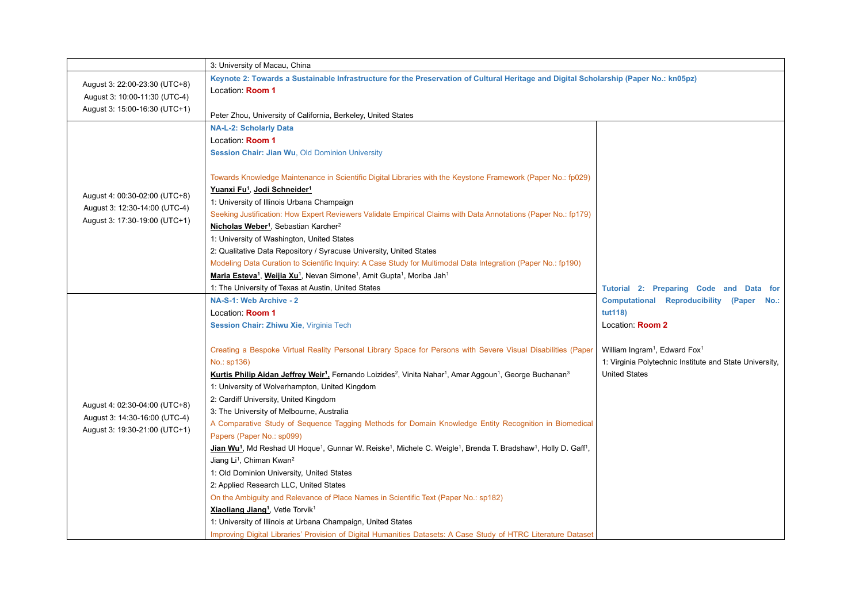|                                                                | 3: University of Macau, China                                                                                                                                                            |                                                         |
|----------------------------------------------------------------|------------------------------------------------------------------------------------------------------------------------------------------------------------------------------------------|---------------------------------------------------------|
|                                                                | Keynote 2: Towards a Sustainable Infrastructure for the Preservation of Cultural Heritage and Digital Scholarship (Paper No.: kn05pz)                                                    |                                                         |
| August 3: 22:00-23:30 (UTC+8)<br>August 3: 10:00-11:30 (UTC-4) | Location: Room 1                                                                                                                                                                         |                                                         |
| August 3: 15:00-16:30 (UTC+1)                                  |                                                                                                                                                                                          |                                                         |
|                                                                | Peter Zhou, University of California, Berkeley, United States                                                                                                                            |                                                         |
|                                                                | <b>NA-L-2: Scholarly Data</b>                                                                                                                                                            |                                                         |
|                                                                | Location: Room 1                                                                                                                                                                         |                                                         |
|                                                                | Session Chair: Jian Wu, Old Dominion University                                                                                                                                          |                                                         |
|                                                                | Towards Knowledge Maintenance in Scientific Digital Libraries with the Keystone Framework (Paper No.: fp029)                                                                             |                                                         |
|                                                                | Yuanxi Fu <sup>1</sup> , Jodi Schneider <sup>1</sup>                                                                                                                                     |                                                         |
| August 4: 00:30-02:00 (UTC+8)                                  | 1: University of Illinois Urbana Champaign                                                                                                                                               |                                                         |
| August 3: 12:30-14:00 (UTC-4)                                  | Seeking Justification: How Expert Reviewers Validate Empirical Claims with Data Annotations (Paper No.: fp179)                                                                           |                                                         |
| August 3: 17:30-19:00 (UTC+1)                                  | Nicholas Weber <sup>1</sup> , Sebastian Karcher <sup>2</sup>                                                                                                                             |                                                         |
|                                                                | 1: University of Washington, United States                                                                                                                                               |                                                         |
|                                                                | 2: Qualitative Data Repository / Syracuse University, United States                                                                                                                      |                                                         |
|                                                                | Modeling Data Curation to Scientific Inquiry: A Case Study for Multimodal Data Integration (Paper No.: fp190)                                                                            |                                                         |
|                                                                | Maria Esteva <sup>1</sup> , Weijia Xu <sup>1</sup> , Nevan Simone <sup>1</sup> , Amit Gupta <sup>1</sup> , Moriba Jah <sup>1</sup>                                                       |                                                         |
|                                                                | 1: The University of Texas at Austin, United States                                                                                                                                      | Tutorial 2: Preparing Code and Data for                 |
|                                                                | NA-S-1: Web Archive - 2                                                                                                                                                                  | Computational Reproducibility (Paper No.:               |
|                                                                | Location: Room 1                                                                                                                                                                         | tut118)                                                 |
|                                                                | Session Chair: Zhiwu Xie, Virginia Tech                                                                                                                                                  | Location: Room 2                                        |
|                                                                | Creating a Bespoke Virtual Reality Personal Library Space for Persons with Severe Visual Disabilities (Paper                                                                             | William Ingram <sup>1</sup> , Edward Fox <sup>1</sup>   |
|                                                                | No.: sp136)                                                                                                                                                                              | 1: Virginia Polytechnic Institute and State University, |
|                                                                | Kurtis Philip Aidan Jeffrey Weir <sup>1</sup> , Fernando Loizides <sup>2</sup> , Vinita Nahar <sup>1</sup> , Amar Aggoun <sup>1</sup> , George Buchanan <sup>3</sup>                     | <b>United States</b>                                    |
|                                                                | 1: University of Wolverhampton, United Kingdom                                                                                                                                           |                                                         |
| August 4: 02:30-04:00 (UTC+8)                                  | 2: Cardiff University, United Kingdom                                                                                                                                                    |                                                         |
|                                                                | 3: The University of Melbourne, Australia                                                                                                                                                |                                                         |
| August 3: 14:30-16:00 (UTC-4)<br>August 3: 19:30-21:00 (UTC+1) | A Comparative Study of Sequence Tagging Methods for Domain Knowledge Entity Recognition in Biomedical                                                                                    |                                                         |
|                                                                | Papers (Paper No.: sp099)                                                                                                                                                                |                                                         |
|                                                                | Jian Wu <sup>1</sup> , Md Reshad Ul Hoque <sup>1</sup> , Gunnar W. Reiske <sup>1</sup> , Michele C. Weigle <sup>1</sup> , Brenda T. Bradshaw <sup>1</sup> , Holly D. Gaff <sup>1</sup> , |                                                         |
|                                                                | Jiang Li <sup>1</sup> , Chiman Kwan <sup>2</sup>                                                                                                                                         |                                                         |
|                                                                | 1: Old Dominion University, United States                                                                                                                                                |                                                         |
|                                                                | 2: Applied Research LLC, United States                                                                                                                                                   |                                                         |
|                                                                | On the Ambiguity and Relevance of Place Names in Scientific Text (Paper No.: sp182)                                                                                                      |                                                         |
|                                                                | <b>Xiaoliang Jiang<sup>1</sup></b> , Vetle Torvik <sup>1</sup>                                                                                                                           |                                                         |
|                                                                | 1: University of Illinois at Urbana Champaign, United States                                                                                                                             |                                                         |
|                                                                | Improving Digital Libraries' Provision of Digital Humanities Datasets: A Case Study of HTRC Literature Dataset                                                                           |                                                         |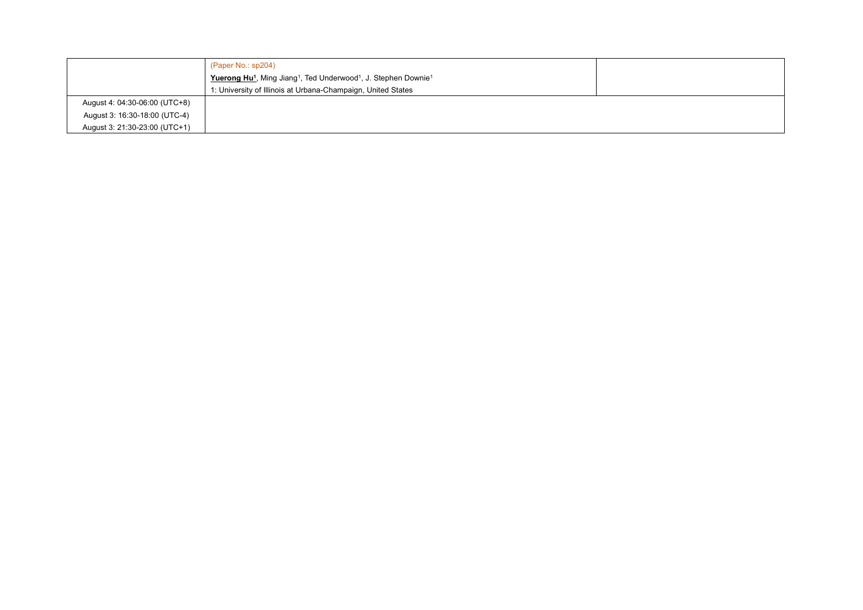|                               | (Paper No.: sp204)                                                                                              |  |
|-------------------------------|-----------------------------------------------------------------------------------------------------------------|--|
|                               | Yuerong Hu <sup>1</sup> , Ming Jiang <sup>1</sup> , Ted Underwood <sup>1</sup> , J. Stephen Downie <sup>1</sup> |  |
|                               | 1: University of Illinois at Urbana-Champaign, United States                                                    |  |
| August 4: 04:30-06:00 (UTC+8) |                                                                                                                 |  |
| August 3: 16:30-18:00 (UTC-4) |                                                                                                                 |  |
| August 3: 21:30-23:00 (UTC+1) |                                                                                                                 |  |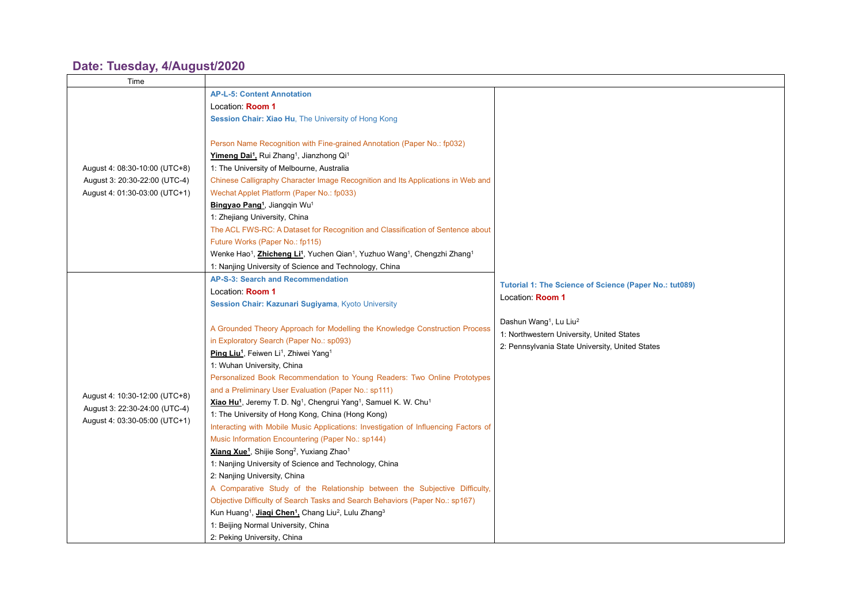#### **Date: Tuesday, [4/August/2020](https://www.conftool.net/demo/pro/index.php?page=browseSessions&print=export&ismobile=false&form_date=2021-02-28&mode=table&presentations=show)**

| Time                                                                                            |                                                                                                                                                                                                                                                                                                                                                                                                                                                                                                                                                                                                                                                                                             |                                                                                                                                                |
|-------------------------------------------------------------------------------------------------|---------------------------------------------------------------------------------------------------------------------------------------------------------------------------------------------------------------------------------------------------------------------------------------------------------------------------------------------------------------------------------------------------------------------------------------------------------------------------------------------------------------------------------------------------------------------------------------------------------------------------------------------------------------------------------------------|------------------------------------------------------------------------------------------------------------------------------------------------|
|                                                                                                 | <b>AP-L-5: Content Annotation</b>                                                                                                                                                                                                                                                                                                                                                                                                                                                                                                                                                                                                                                                           |                                                                                                                                                |
|                                                                                                 | Location: Room 1                                                                                                                                                                                                                                                                                                                                                                                                                                                                                                                                                                                                                                                                            |                                                                                                                                                |
|                                                                                                 | Session Chair: Xiao Hu, The University of Hong Kong                                                                                                                                                                                                                                                                                                                                                                                                                                                                                                                                                                                                                                         |                                                                                                                                                |
| August 4: 08:30-10:00 (UTC+8)<br>August 3: 20:30-22:00 (UTC-4)<br>August 4: 01:30-03:00 (UTC+1) | Person Name Recognition with Fine-grained Annotation (Paper No.: fp032)<br>Yimeng Dai <sup>1</sup> , Rui Zhang <sup>1</sup> , Jianzhong Qi <sup>1</sup><br>1: The University of Melbourne, Australia<br>Chinese Calligraphy Character Image Recognition and Its Applications in Web and<br>Wechat Applet Platform (Paper No.: fp033)<br>Bingyao Pang <sup>1</sup> , Jiangqin Wu <sup>1</sup><br>1: Zhejiang University, China<br>The ACL FWS-RC: A Dataset for Recognition and Classification of Sentence about<br>Future Works (Paper No.: fp115)<br>Wenke Hao <sup>1</sup> , Zhicheng Li <sup>1</sup> , Yuchen Qian <sup>1</sup> , Yuzhuo Wang <sup>1</sup> , Chengzhi Zhang <sup>1</sup> |                                                                                                                                                |
|                                                                                                 | 1: Nanjing University of Science and Technology, China                                                                                                                                                                                                                                                                                                                                                                                                                                                                                                                                                                                                                                      |                                                                                                                                                |
|                                                                                                 | AP-S-3: Search and Recommendation<br>Location: Room 1<br>Session Chair: Kazunari Sugiyama, Kyoto University                                                                                                                                                                                                                                                                                                                                                                                                                                                                                                                                                                                 | Tutorial 1: The Science of Science (Paper No.: tut089)<br>Location: Room 1                                                                     |
|                                                                                                 | A Grounded Theory Approach for Modelling the Knowledge Construction Process<br>in Exploratory Search (Paper No.: sp093)                                                                                                                                                                                                                                                                                                                                                                                                                                                                                                                                                                     | Dashun Wang <sup>1</sup> , Lu Liu <sup>2</sup><br>1: Northwestern University, United States<br>2: Pennsylvania State University, United States |
|                                                                                                 | Ping Liu <sup>1</sup> , Feiwen Li <sup>1</sup> , Zhiwei Yang <sup>1</sup><br>1: Wuhan University, China                                                                                                                                                                                                                                                                                                                                                                                                                                                                                                                                                                                     |                                                                                                                                                |
|                                                                                                 | Personalized Book Recommendation to Young Readers: Two Online Prototypes                                                                                                                                                                                                                                                                                                                                                                                                                                                                                                                                                                                                                    |                                                                                                                                                |
|                                                                                                 | and a Preliminary User Evaluation (Paper No.: sp111)                                                                                                                                                                                                                                                                                                                                                                                                                                                                                                                                                                                                                                        |                                                                                                                                                |
| August 4: 10:30-12:00 (UTC+8)                                                                   | Xiao Hu <sup>1</sup> , Jeremy T. D. Ng <sup>1</sup> , Chengrui Yang <sup>1</sup> , Samuel K. W. Chu <sup>1</sup>                                                                                                                                                                                                                                                                                                                                                                                                                                                                                                                                                                            |                                                                                                                                                |
| August 3: 22:30-24:00 (UTC-4)                                                                   | 1: The University of Hong Kong, China (Hong Kong)                                                                                                                                                                                                                                                                                                                                                                                                                                                                                                                                                                                                                                           |                                                                                                                                                |
| August 4: 03:30-05:00 (UTC+1)                                                                   | Interacting with Mobile Music Applications: Investigation of Influencing Factors of                                                                                                                                                                                                                                                                                                                                                                                                                                                                                                                                                                                                         |                                                                                                                                                |
|                                                                                                 | Music Information Encountering (Paper No.: sp144)                                                                                                                                                                                                                                                                                                                                                                                                                                                                                                                                                                                                                                           |                                                                                                                                                |
|                                                                                                 | Xiang Xue <sup>1</sup> , Shijie Song <sup>2</sup> , Yuxiang Zhao <sup>1</sup>                                                                                                                                                                                                                                                                                                                                                                                                                                                                                                                                                                                                               |                                                                                                                                                |
|                                                                                                 | 1: Nanjing University of Science and Technology, China                                                                                                                                                                                                                                                                                                                                                                                                                                                                                                                                                                                                                                      |                                                                                                                                                |
|                                                                                                 | 2: Nanjing University, China                                                                                                                                                                                                                                                                                                                                                                                                                                                                                                                                                                                                                                                                |                                                                                                                                                |
|                                                                                                 | A Comparative Study of the Relationship between the Subjective Difficulty,                                                                                                                                                                                                                                                                                                                                                                                                                                                                                                                                                                                                                  |                                                                                                                                                |
|                                                                                                 | Objective Difficulty of Search Tasks and Search Behaviors (Paper No.: sp167)                                                                                                                                                                                                                                                                                                                                                                                                                                                                                                                                                                                                                |                                                                                                                                                |
|                                                                                                 | Kun Huang <sup>1</sup> , <b>Jiaqi Chen<sup>1</sup></b> , Chang Liu <sup>2</sup> , Lulu Zhang <sup>3</sup>                                                                                                                                                                                                                                                                                                                                                                                                                                                                                                                                                                                   |                                                                                                                                                |
|                                                                                                 | 1: Beijing Normal University, China                                                                                                                                                                                                                                                                                                                                                                                                                                                                                                                                                                                                                                                         |                                                                                                                                                |
|                                                                                                 | 2: Peking University, China                                                                                                                                                                                                                                                                                                                                                                                                                                                                                                                                                                                                                                                                 |                                                                                                                                                |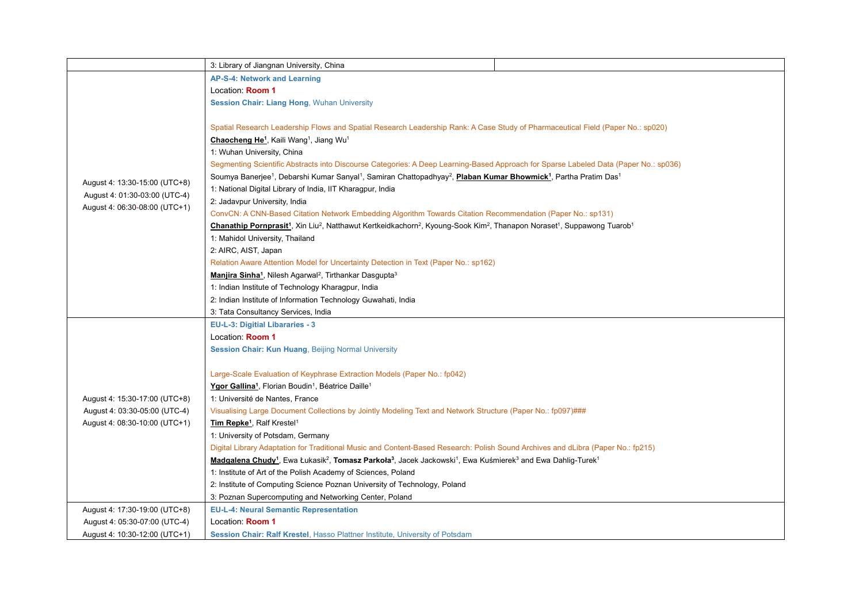|                               | 3: Library of Jiangnan University, China                                                                                                                                                         |
|-------------------------------|--------------------------------------------------------------------------------------------------------------------------------------------------------------------------------------------------|
|                               | AP-S-4: Network and Learning                                                                                                                                                                     |
|                               | Location: Room 1                                                                                                                                                                                 |
|                               | <b>Session Chair: Liang Hong, Wuhan University</b>                                                                                                                                               |
|                               |                                                                                                                                                                                                  |
|                               | Spatial Research Leadership Flows and Spatial Research Leadership Rank: A Case Study of Pharmaceutical Field (Paper No.: sp020)                                                                  |
|                               | Chaocheng He <sup>1</sup> , Kaili Wang <sup>1</sup> , Jiang Wu <sup>1</sup>                                                                                                                      |
|                               | 1: Wuhan University, China                                                                                                                                                                       |
|                               | Segmenting Scientific Abstracts into Discourse Categories: A Deep Learning-Based Approach for Sparse Labeled Data (Paper No.: sp036)                                                             |
|                               | Soumya Banerjee <sup>1</sup> , Debarshi Kumar Sanyal <sup>1</sup> , Samiran Chattopadhyay <sup>2</sup> , Plaban Kumar Bhowmick <sup>1</sup> , Partha Pratim Das <sup>1</sup>                     |
| August 4: 13:30-15:00 (UTC+8) | 1: National Digital Library of India, IIT Kharagpur, India                                                                                                                                       |
| August 4: 01:30-03:00 (UTC-4) | 2: Jadavpur University, India                                                                                                                                                                    |
| August 4: 06:30-08:00 (UTC+1) | ConvCN: A CNN-Based Citation Network Embedding Algorithm Towards Citation Recommendation (Paper No.: sp131)                                                                                      |
|                               | Chanathip Pornprasit <sup>1</sup> , Xin Liu <sup>2</sup> , Natthawut Kertkeidkachorn <sup>2</sup> , Kyoung-Sook Kim <sup>2</sup> , Thanapon Noraset <sup>1</sup> , Suppawong Tuarob <sup>1</sup> |
|                               | 1: Mahidol University, Thailand                                                                                                                                                                  |
|                               | 2: AIRC, AIST, Japan                                                                                                                                                                             |
|                               | Relation Aware Attention Model for Uncertainty Detection in Text (Paper No.: sp162)                                                                                                              |
|                               | Manjira Sinha <sup>1</sup> , Nilesh Agarwal <sup>2</sup> , Tirthankar Dasgupta <sup>3</sup>                                                                                                      |
|                               | 1: Indian Institute of Technology Kharagpur, India                                                                                                                                               |
|                               | 2: Indian Institute of Information Technology Guwahati, India                                                                                                                                    |
|                               | 3: Tata Consultancy Services, India                                                                                                                                                              |
|                               | EU-L-3: Digitial Libararies - 3                                                                                                                                                                  |
|                               | Location: Room 1                                                                                                                                                                                 |
|                               | Session Chair: Kun Huang, Beijing Normal University                                                                                                                                              |
|                               |                                                                                                                                                                                                  |
|                               | Large-Scale Evaluation of Keyphrase Extraction Models (Paper No.: fp042)                                                                                                                         |
|                               | Ygor Gallina <sup>1</sup> , Florian Boudin <sup>1</sup> , Béatrice Daille <sup>1</sup>                                                                                                           |
| August 4: 15:30-17:00 (UTC+8) | 1: Université de Nantes, France                                                                                                                                                                  |
| August 4: 03:30-05:00 (UTC-4) | Visualising Large Document Collections by Jointly Modeling Text and Network Structure (Paper No.: fp097)###                                                                                      |
| August 4: 08:30-10:00 (UTC+1) | Tim Repke <sup>1</sup> , Ralf Krestel <sup>1</sup>                                                                                                                                               |
|                               | 1: University of Potsdam, Germany                                                                                                                                                                |
|                               | Digital Library Adaptation for Traditional Music and Content-Based Research: Polish Sound Archives and dLibra (Paper No.: fp215)                                                                 |
|                               | Madgalena Chudy <sup>1</sup> , Ewa Łukasik <sup>2</sup> , Tomasz Parkoła <sup>3</sup> , Jacek Jackowski <sup>1</sup> , Ewa Kuśmierek <sup>3</sup> and Ewa Dahlig-Turek <sup>1</sup>              |
|                               | 1: Institute of Art of the Polish Academy of Sciences, Poland                                                                                                                                    |
|                               | 2: Institute of Computing Science Poznan University of Technology, Poland                                                                                                                        |
|                               | 3: Poznan Supercomputing and Networking Center, Poland                                                                                                                                           |
| August 4: 17:30-19:00 (UTC+8) | <b>EU-L-4: Neural Semantic Representation</b>                                                                                                                                                    |
| August 4: 05:30-07:00 (UTC-4) | Location: Room 1                                                                                                                                                                                 |
| August 4: 10:30-12:00 (UTC+1) | Session Chair: Ralf Krestel, Hasso Plattner Institute, University of Potsdam                                                                                                                     |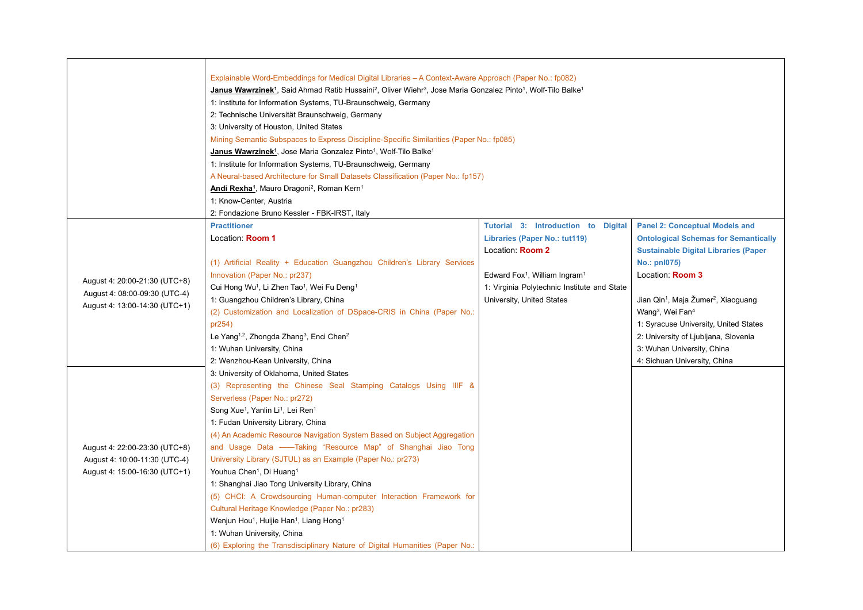|                                                                | Explainable Word-Embeddings for Medical Digital Libraries – A Context-Aware Approach (Paper No.: fp082)                                                                   |                                                       |                                                             |  |  |
|----------------------------------------------------------------|---------------------------------------------------------------------------------------------------------------------------------------------------------------------------|-------------------------------------------------------|-------------------------------------------------------------|--|--|
|                                                                | Janus Wawrzinek <sup>1</sup> , Said Ahmad Ratib Hussaini <sup>2</sup> , Oliver Wiehr <sup>3</sup> , Jose Maria Gonzalez Pinto <sup>1</sup> , Wolf-Tilo Balke <sup>1</sup> |                                                       |                                                             |  |  |
|                                                                | 1: Institute for Information Systems, TU-Braunschweig, Germany                                                                                                            |                                                       |                                                             |  |  |
|                                                                | 2: Technische Universität Braunschweig, Germany                                                                                                                           |                                                       |                                                             |  |  |
|                                                                | 3: University of Houston, United States                                                                                                                                   |                                                       |                                                             |  |  |
|                                                                | Mining Semantic Subspaces to Express Discipline-Specific Similarities (Paper No.: fp085)                                                                                  |                                                       |                                                             |  |  |
|                                                                | Janus Wawrzinek <sup>1</sup> , Jose Maria Gonzalez Pinto <sup>1</sup> , Wolf-Tilo Balke <sup>1</sup>                                                                      |                                                       |                                                             |  |  |
| 1: Institute for Information Systems, TU-Braunschweig, Germany |                                                                                                                                                                           |                                                       |                                                             |  |  |
|                                                                | A Neural-based Architecture for Small Datasets Classification (Paper No.: fp157)<br>Andi Rexha <sup>1</sup> , Mauro Dragoni <sup>2</sup> , Roman Kern <sup>1</sup>        |                                                       |                                                             |  |  |
|                                                                |                                                                                                                                                                           |                                                       |                                                             |  |  |
|                                                                | 1: Know-Center, Austria                                                                                                                                                   |                                                       |                                                             |  |  |
|                                                                | 2: Fondazione Bruno Kessler - FBK-IRST, Italy                                                                                                                             |                                                       |                                                             |  |  |
|                                                                | <b>Practitioner</b>                                                                                                                                                       | Tutorial 3: Introduction to Digital                   | <b>Panel 2: Conceptual Models and</b>                       |  |  |
|                                                                | Location: Room 1                                                                                                                                                          | Libraries (Paper No.: tut119)                         | <b>Ontological Schemas for Semantically</b>                 |  |  |
|                                                                |                                                                                                                                                                           | Location: Room 2                                      | <b>Sustainable Digital Libraries (Paper</b>                 |  |  |
|                                                                | (1) Artificial Reality + Education Guangzhou Children's Library Services                                                                                                  |                                                       | No.: pnl075)                                                |  |  |
| August 4: 20:00-21:30 (UTC+8)                                  | Innovation (Paper No.: pr237)                                                                                                                                             | Edward Fox <sup>1</sup> , William Ingram <sup>1</sup> | Location: Room 3                                            |  |  |
| August 4: 08:00-09:30 (UTC-4)                                  | Cui Hong Wu <sup>1</sup> , Li Zhen Tao <sup>1</sup> , Wei Fu Deng <sup>1</sup>                                                                                            | 1: Virginia Polytechnic Institute and State           |                                                             |  |  |
| August 4: 13:00-14:30 (UTC+1)                                  | 1: Guangzhou Children's Library, China                                                                                                                                    | University, United States                             | Jian Qin <sup>1</sup> , Maja Žumer <sup>2</sup> , Xiaoguang |  |  |
|                                                                | (2) Customization and Localization of DSpace-CRIS in China (Paper No.:                                                                                                    |                                                       | Wang <sup>3</sup> , Wei Fan <sup>4</sup>                    |  |  |
|                                                                | pr254)                                                                                                                                                                    |                                                       | 1: Syracuse University, United States                       |  |  |
|                                                                | Le Yang <sup>1,2</sup> , Zhongda Zhang <sup>3</sup> , Enci Chen <sup>2</sup>                                                                                              |                                                       | 2: University of Ljubljana, Slovenia                        |  |  |
|                                                                | 1: Wuhan University, China                                                                                                                                                |                                                       | 3: Wuhan University, China                                  |  |  |
|                                                                | 2: Wenzhou-Kean University, China                                                                                                                                         |                                                       | 4: Sichuan University, China                                |  |  |
|                                                                | 3: University of Oklahoma, United States                                                                                                                                  |                                                       |                                                             |  |  |
|                                                                | (3) Representing the Chinese Seal Stamping Catalogs Using IIIF &                                                                                                          |                                                       |                                                             |  |  |
|                                                                | Serverless (Paper No.: pr272)                                                                                                                                             |                                                       |                                                             |  |  |
|                                                                | Song Xue <sup>1</sup> , Yanlin Li <sup>1</sup> , Lei Ren <sup>1</sup>                                                                                                     |                                                       |                                                             |  |  |
|                                                                | 1: Fudan University Library, China                                                                                                                                        |                                                       |                                                             |  |  |
|                                                                | (4) An Academic Resource Navigation System Based on Subject Aggregation                                                                                                   |                                                       |                                                             |  |  |
| August 4: 22:00-23:30 (UTC+8)                                  | and Usage Data ——Taking "Resource Map" of Shanghai Jiao Tong                                                                                                              |                                                       |                                                             |  |  |
| August 4: 10:00-11:30 (UTC-4)                                  | University Library (SJTUL) as an Example (Paper No.: pr273)                                                                                                               |                                                       |                                                             |  |  |
| August 4: 15:00-16:30 (UTC+1)                                  | Youhua Chen <sup>1</sup> , Di Huang <sup>1</sup>                                                                                                                          |                                                       |                                                             |  |  |
|                                                                | 1: Shanghai Jiao Tong University Library, China                                                                                                                           |                                                       |                                                             |  |  |
|                                                                | (5) CHCI: A Crowdsourcing Human-computer Interaction Framework for                                                                                                        |                                                       |                                                             |  |  |
|                                                                | Cultural Heritage Knowledge (Paper No.: pr283)                                                                                                                            |                                                       |                                                             |  |  |
|                                                                | Wenjun Hou <sup>1</sup> , Huijie Han <sup>1</sup> , Liang Hong <sup>1</sup>                                                                                               |                                                       |                                                             |  |  |
|                                                                | 1: Wuhan University, China                                                                                                                                                |                                                       |                                                             |  |  |
|                                                                | (6) Exploring the Transdisciplinary Nature of Digital Humanities (Paper No.:                                                                                              |                                                       |                                                             |  |  |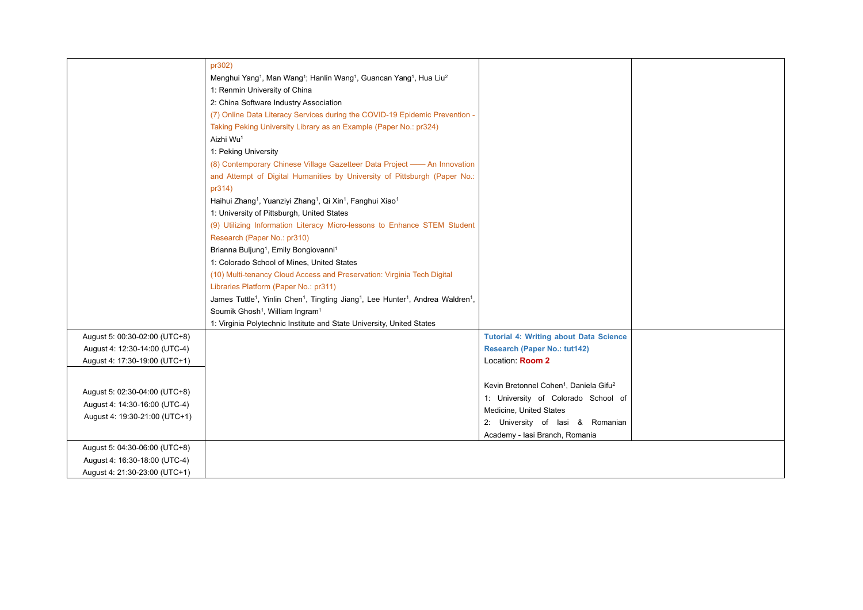|                               | pr302)                                                                                                                                       |                                                                |  |
|-------------------------------|----------------------------------------------------------------------------------------------------------------------------------------------|----------------------------------------------------------------|--|
|                               | Menghui Yang <sup>1</sup> , Man Wang <sup>1</sup> ; Hanlin Wang <sup>1</sup> , Guancan Yang <sup>1</sup> , Hua Liu <sup>2</sup>              |                                                                |  |
|                               | 1: Renmin University of China                                                                                                                |                                                                |  |
|                               | 2: China Software Industry Association                                                                                                       |                                                                |  |
|                               | (7) Online Data Literacy Services during the COVID-19 Epidemic Prevention -                                                                  |                                                                |  |
|                               | Taking Peking University Library as an Example (Paper No.: pr324)                                                                            |                                                                |  |
|                               | Aizhi Wu <sup>1</sup>                                                                                                                        |                                                                |  |
|                               |                                                                                                                                              |                                                                |  |
|                               | 1: Peking University                                                                                                                         |                                                                |  |
|                               | (8) Contemporary Chinese Village Gazetteer Data Project —— An Innovation                                                                     |                                                                |  |
|                               | and Attempt of Digital Humanities by University of Pittsburgh (Paper No.:                                                                    |                                                                |  |
|                               | pr314)                                                                                                                                       |                                                                |  |
|                               | Haihui Zhang <sup>1</sup> , Yuanziyi Zhang <sup>1</sup> , Qi Xin <sup>1</sup> , Fanghui Xiao <sup>1</sup>                                    |                                                                |  |
|                               | 1: University of Pittsburgh, United States                                                                                                   |                                                                |  |
|                               | (9) Utilizing Information Literacy Micro-lessons to Enhance STEM Student                                                                     |                                                                |  |
|                               | Research (Paper No.: pr310)                                                                                                                  |                                                                |  |
|                               | Brianna Buljung <sup>1</sup> , Emily Bongiovanni <sup>1</sup>                                                                                |                                                                |  |
|                               | 1: Colorado School of Mines, United States                                                                                                   |                                                                |  |
|                               | (10) Multi-tenancy Cloud Access and Preservation: Virginia Tech Digital                                                                      |                                                                |  |
|                               | Libraries Platform (Paper No.: pr311)                                                                                                        |                                                                |  |
|                               | James Tuttle <sup>1</sup> , Yinlin Chen <sup>1</sup> , Tingting Jiang <sup>1</sup> , Lee Hunter <sup>1</sup> , Andrea Waldren <sup>1</sup> , |                                                                |  |
|                               | Soumik Ghosh <sup>1</sup> , William Ingram <sup>1</sup>                                                                                      |                                                                |  |
|                               | 1: Virginia Polytechnic Institute and State University, United States                                                                        |                                                                |  |
| August 5: 00:30-02:00 (UTC+8) |                                                                                                                                              | <b>Tutorial 4: Writing about Data Science</b>                  |  |
| August 4: 12:30-14:00 (UTC-4) |                                                                                                                                              | <b>Research (Paper No.: tut142)</b>                            |  |
| August 4: 17:30-19:00 (UTC+1) |                                                                                                                                              | Location: Room 2                                               |  |
|                               |                                                                                                                                              |                                                                |  |
|                               |                                                                                                                                              | Kevin Bretonnel Cohen <sup>1</sup> , Daniela Gifu <sup>2</sup> |  |
| August 5: 02:30-04:00 (UTC+8) |                                                                                                                                              | 1: University of Colorado School of                            |  |
| August 4: 14:30-16:00 (UTC-4) |                                                                                                                                              | Medicine, United States                                        |  |
| August 4: 19:30-21:00 (UTC+1) |                                                                                                                                              | 2: University of lasi & Romanian                               |  |
|                               |                                                                                                                                              | Academy - Iasi Branch, Romania                                 |  |
| August 5: 04:30-06:00 (UTC+8) |                                                                                                                                              |                                                                |  |
| August 4: 16:30-18:00 (UTC-4) |                                                                                                                                              |                                                                |  |
| August 4: 21:30-23:00 (UTC+1) |                                                                                                                                              |                                                                |  |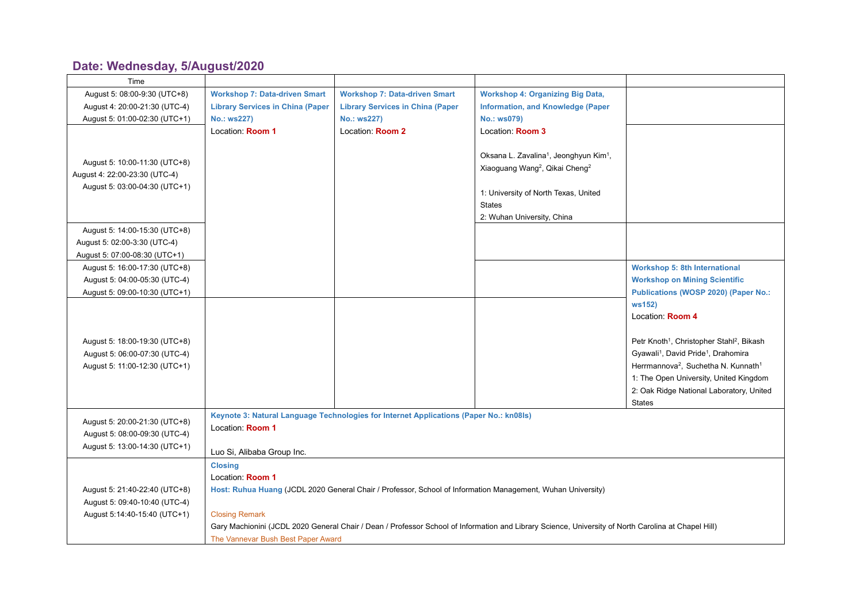## **Date: Wednesday, [5/August/2020](https://www.conftool.net/demo/pro/index.php?page=browseSessions&print=export&ismobile=false&form_date=2021-02-28&mode=table&presentations=show)**

| Time                                                           |                                                                                                                                                     |                                                                                                             |                                                                |                                                                   |
|----------------------------------------------------------------|-----------------------------------------------------------------------------------------------------------------------------------------------------|-------------------------------------------------------------------------------------------------------------|----------------------------------------------------------------|-------------------------------------------------------------------|
| August 5: 08:00-9:30 (UTC+8)                                   | <b>Workshop 7: Data-driven Smart</b>                                                                                                                | <b>Workshop 7: Data-driven Smart</b>                                                                        | <b>Workshop 4: Organizing Big Data,</b>                        |                                                                   |
| August 4: 20:00-21:30 (UTC-4)                                  | <b>Library Services in China (Paper</b>                                                                                                             | <b>Library Services in China (Paper</b>                                                                     | <b>Information, and Knowledge (Paper</b>                       |                                                                   |
| August 5: 01:00-02:30 (UTC+1)                                  | No.: ws227)                                                                                                                                         | No.: ws227)                                                                                                 | No.: ws079)                                                    |                                                                   |
|                                                                | Location: Room 1                                                                                                                                    | Location: Room 2                                                                                            | Location: Room 3                                               |                                                                   |
|                                                                |                                                                                                                                                     |                                                                                                             |                                                                |                                                                   |
| August 5: 10:00-11:30 (UTC+8)                                  |                                                                                                                                                     |                                                                                                             | Oksana L. Zavalina <sup>1</sup> , Jeonghyun Kim <sup>1</sup> , |                                                                   |
| August 4: 22:00-23:30 (UTC-4)                                  |                                                                                                                                                     |                                                                                                             | Xiaoguang Wang <sup>2</sup> , Qikai Cheng <sup>2</sup>         |                                                                   |
| August 5: 03:00-04:30 (UTC+1)                                  |                                                                                                                                                     |                                                                                                             |                                                                |                                                                   |
|                                                                |                                                                                                                                                     |                                                                                                             | 1: University of North Texas, United                           |                                                                   |
|                                                                |                                                                                                                                                     |                                                                                                             | <b>States</b>                                                  |                                                                   |
|                                                                |                                                                                                                                                     |                                                                                                             | 2: Wuhan University, China                                     |                                                                   |
| August 5: 14:00-15:30 (UTC+8)                                  |                                                                                                                                                     |                                                                                                             |                                                                |                                                                   |
| August 5: 02:00-3:30 (UTC-4)                                   |                                                                                                                                                     |                                                                                                             |                                                                |                                                                   |
| August 5: 07:00-08:30 (UTC+1)                                  |                                                                                                                                                     |                                                                                                             |                                                                |                                                                   |
| August 5: 16:00-17:30 (UTC+8)                                  |                                                                                                                                                     |                                                                                                             |                                                                | <b>Workshop 5: 8th International</b>                              |
| August 5: 04:00-05:30 (UTC-4)                                  |                                                                                                                                                     |                                                                                                             |                                                                | <b>Workshop on Mining Scientific</b>                              |
| August 5: 09:00-10:30 (UTC+1)                                  |                                                                                                                                                     |                                                                                                             |                                                                | Publications (WOSP 2020) (Paper No.:                              |
|                                                                |                                                                                                                                                     |                                                                                                             |                                                                | ws152)                                                            |
|                                                                |                                                                                                                                                     |                                                                                                             |                                                                | Location: Room 4                                                  |
|                                                                |                                                                                                                                                     |                                                                                                             |                                                                | Petr Knoth <sup>1</sup> , Christopher Stahl <sup>2</sup> , Bikash |
| August 5: 18:00-19:30 (UTC+8)<br>August 5: 06:00-07:30 (UTC-4) |                                                                                                                                                     |                                                                                                             |                                                                | Gyawali <sup>1</sup> , David Pride <sup>1</sup> , Drahomira       |
| August 5: 11:00-12:30 (UTC+1)                                  |                                                                                                                                                     |                                                                                                             |                                                                | Herrmannova <sup>2</sup> , Suchetha N. Kunnath <sup>1</sup>       |
|                                                                |                                                                                                                                                     |                                                                                                             |                                                                | 1: The Open University, United Kingdom                            |
|                                                                |                                                                                                                                                     |                                                                                                             |                                                                | 2: Oak Ridge National Laboratory, United                          |
|                                                                |                                                                                                                                                     |                                                                                                             |                                                                | <b>States</b>                                                     |
|                                                                |                                                                                                                                                     | Keynote 3: Natural Language Technologies for Internet Applications (Paper No.: kn08ls)                      |                                                                |                                                                   |
| August 5: 20:00-21:30 (UTC+8)                                  | Location: Room 1                                                                                                                                    |                                                                                                             |                                                                |                                                                   |
| August 5: 08:00-09:30 (UTC-4)                                  |                                                                                                                                                     |                                                                                                             |                                                                |                                                                   |
| August 5: 13:00-14:30 (UTC+1)                                  | Luo Si, Alibaba Group Inc.                                                                                                                          |                                                                                                             |                                                                |                                                                   |
|                                                                | <b>Closing</b>                                                                                                                                      |                                                                                                             |                                                                |                                                                   |
|                                                                | Location: Room 1                                                                                                                                    |                                                                                                             |                                                                |                                                                   |
| August 5: 21:40-22:40 (UTC+8)                                  |                                                                                                                                                     | Host: Ruhua Huang (JCDL 2020 General Chair / Professor, School of Information Management, Wuhan University) |                                                                |                                                                   |
| August 5: 09:40-10:40 (UTC-4)                                  |                                                                                                                                                     |                                                                                                             |                                                                |                                                                   |
| August 5:14:40-15:40 (UTC+1)                                   | <b>Closing Remark</b>                                                                                                                               |                                                                                                             |                                                                |                                                                   |
|                                                                | Gary Machionini (JCDL 2020 General Chair / Dean / Professor School of Information and Library Science, University of North Carolina at Chapel Hill) |                                                                                                             |                                                                |                                                                   |
|                                                                | The Vannevar Bush Best Paper Award                                                                                                                  |                                                                                                             |                                                                |                                                                   |